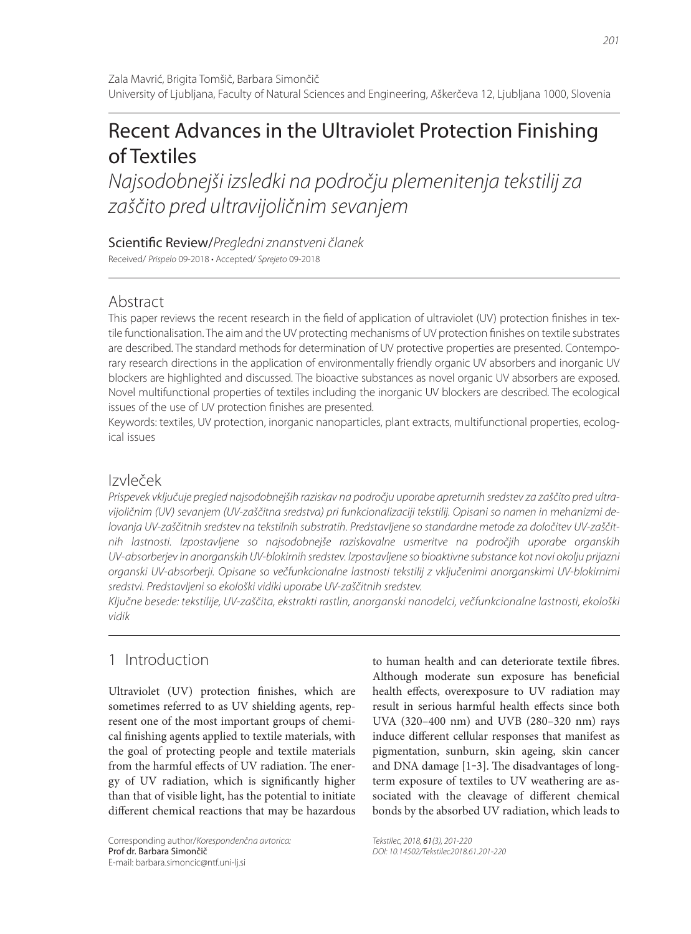# Recent Advances in the Ultraviolet Protection Finishing of Textiles

Najsodobnejši izsledki na področju plemenitenja tekstilij za zaščito pred ultravijoličnim sevanjem

Scientific Review/Pregledni znanstveni članek Received/ Prispelo 09-2018 • Accepted/ Sprejeto 09-2018

## Abstract

This paper reviews the recent research in the field of application of ultraviolet (UV) protection finishes in textile functionalisation. The aim and the UV protecting mechanisms of UV protection finishes on textile substrates are described. The standard methods for determination of UV protective properties are presented. Contemporary research directions in the application of environmentally friendly organic UV absorbers and inorganic UV blockers are highlighted and discussed. The bioactive substances as novel organic UV absorbers are exposed. Novel multifunctional properties of textiles including the inorganic UV blockers are described. The ecological issues of the use of UV protection finishes are presented.

Keywords: textiles, UV protection, inorganic nanoparticles, plant extracts, multifunctional properties, ecological issues

## Izvleček

Prispevek vključuje pregled najsodobnejših raziskav na področju uporabe apreturnih sredstev za zaščito pred ultravijoličnim (UV) sevanjem (UV-zaščitna sredstva) pri funkcionalizaciji tekstilij. Opisani so namen in mehanizmi delovanja UV-zaščitnih sredstev na tekstilnih substratih. Predstavljene so standardne metode za določitev UV-zaščitnih lastnosti. Izpostavljene so najsodobnejše raziskovalne usmeritve na področjih uporabe organskih UV-absorberjev in anorganskih UV-blokirnih sredstev. Izpostavljene so bioaktivne substance kot novi okolju prijazni organski UV-absorberji. Opisane so večfunkcionalne lastnosti tekstilij z vključenimi anorganskimi UV-blokirnimi sredstvi. Predstavljeni so ekološki vidiki uporabe UV-zaščitnih sredstev.

Ključne besede: tekstilije, UV-zaščita, ekstrakti rastlin, anorganski nanodelci, večfunkcionalne lastnosti, ekološki vidik

# 1 Introduction

Ultraviolet (UV) protection finishes, which are sometimes referred to as UV shielding agents, represent one of the most important groups of chemical finishing agents applied to textile materials, with the goal of protecting people and textile materials from the harmful effects of UV radiation. The energy of UV radiation, which is significantly higher than that of visible light, has the potential to initiate different chemical reactions that may be hazardous

Corresponding author/Korespondenčna avtorica: Prof dr. Barbara Simončič E-mail: barbara.simoncic@ntf.uni-lj.si

to human health and can deteriorate textile fibres. Although moderate sun exposure has beneficial health effects, overexposure to UV radiation may result in serious harmful health effects since both UVA (320–400 nm) and UVB (280–320 nm) rays induce different cellular responses that manifest as pigmentation, sunburn, skin ageing, skin cancer and DNA damage  $[1-3]$ . The disadvantages of longterm exposure of textiles to UV weathering are associated with the cleavage of different chemical bonds by the absorbed UV radiation, which leads to

Tekstilec, 2018, 61(3), 201-220 DOI: 10.14502/Tekstilec2018.61.201-220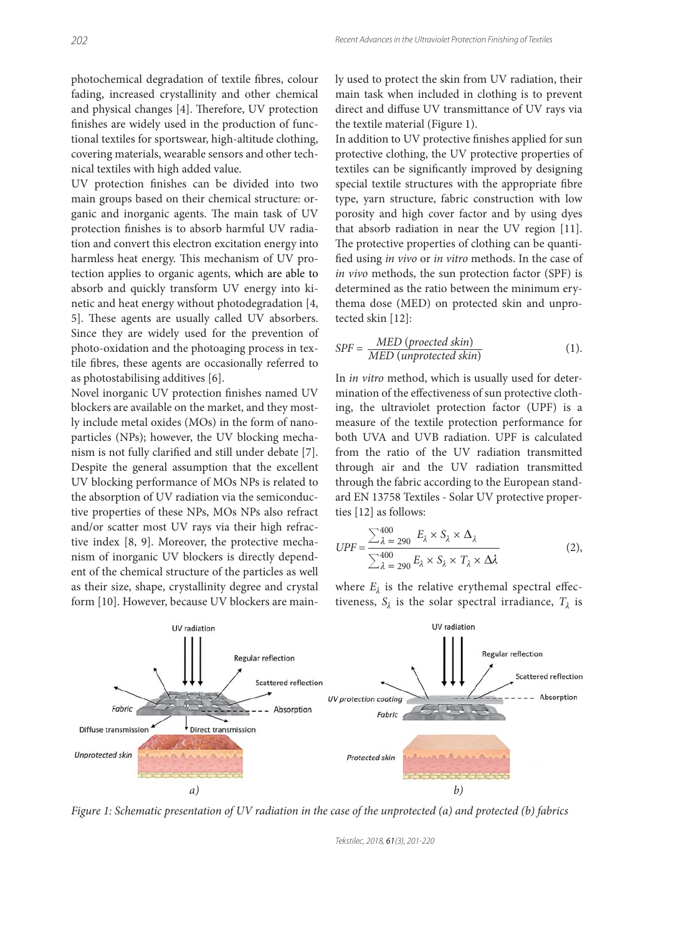photochemical degradation of textile fibres, colour fading, increased crystallinity and other chemical and physical changes [4]. Therefore, UV protection finishes are widely used in the production of functional textiles for sportswear, high-altitude clothing, covering materials, wearable sensors and other technical textiles with high added value.

UV protection finishes can be divided into two main groups based on their chemical structure: organic and inorganic agents. The main task of UV protection finishes is to absorb harmful UV radiation and convert this electron excitation energy into harmless heat energy. This mechanism of UV protection applies to organic agents, which are able to absorb and quickly transform UV energy into kinetic and heat energy without photodegradation [4, 5]. These agents are usually called UV absorbers. Since they are widely used for the prevention of photo-oxidation and the photoaging process in textile fibres, these agents are occasionally referred to as photostabilising additives [6].

Novel inorganic UV protection finishes named UV blockers are available on the market, and they mostly include metal oxides (MOs) in the form of nanoparticles (NPs); however, the UV blocking mechanism is not fully clarified and still under debate [7]. Despite the general assumption that the excellent UV blocking performance of MOs NPs is related to the absorption of UV radiation via the semiconductive properties of these NPs, MOs NPs also refract and/or scatter most UV rays via their high refractive index [8, 9]. Moreover, the protective mechanism of inorganic UV blockers is directly dependent of the chemical structure of the particles as well as their size, shape, crystallinity degree and crystal form [10]. However, because UV blockers are mainly used to protect the skin from UV radiation, their main task when included in clothing is to prevent direct and diffuse UV transmittance of UV rays via the textile material (Figure 1).

In addition to UV protective finishes applied for sun protective clothing, the UV protective properties of textiles can be significantly improved by designing special textile structures with the appropriate fibre type, yarn structure, fabric construction with low porosity and high cover factor and by using dyes that absorb radiation in near the UV region [11]. The protective properties of clothing can be quantified using *in vivo* or *in vitro* methods. In the case of *in vivo* methods, the sun protection factor (SPF) is determined as the ratio between the minimum erythema dose (MED) on protected skin and unprotected skin [12]:

$$
SPF = \frac{MED\ (proected\ skin)}{MED\ (unprotected\ skin)}\tag{1}
$$

In *in vitro* method, which is usually used for determination of the effectiveness of sun protective clothing, the ultraviolet protection factor (UPF) is a measure of the textile protection performance for both UVA and UVB radiation. UPF is calculated from the ratio of the UV radiation transmitted through air and the UV radiation transmitted through the fabric according to the European standard EN 13758 Textiles - Solar UV protective properties [12] as follows:

$$
UPF = \frac{\sum_{\lambda=290}^{400} E_{\lambda} \times S_{\lambda} \times \Delta_{\lambda}}{\sum_{\lambda=290}^{400} E_{\lambda} \times S_{\lambda} \times T_{\lambda} \times \Delta_{\lambda}}
$$
(2),

where  $E_{\lambda}$  is the relative erythemal spectral effectiveness,  $S_{\lambda}$  is the solar spectral irradiance,  $T_{\lambda}$  is



*Figure 1: Schematic presentation of UV radiation in the case of the unprotected (a) and protected (b) fabrics*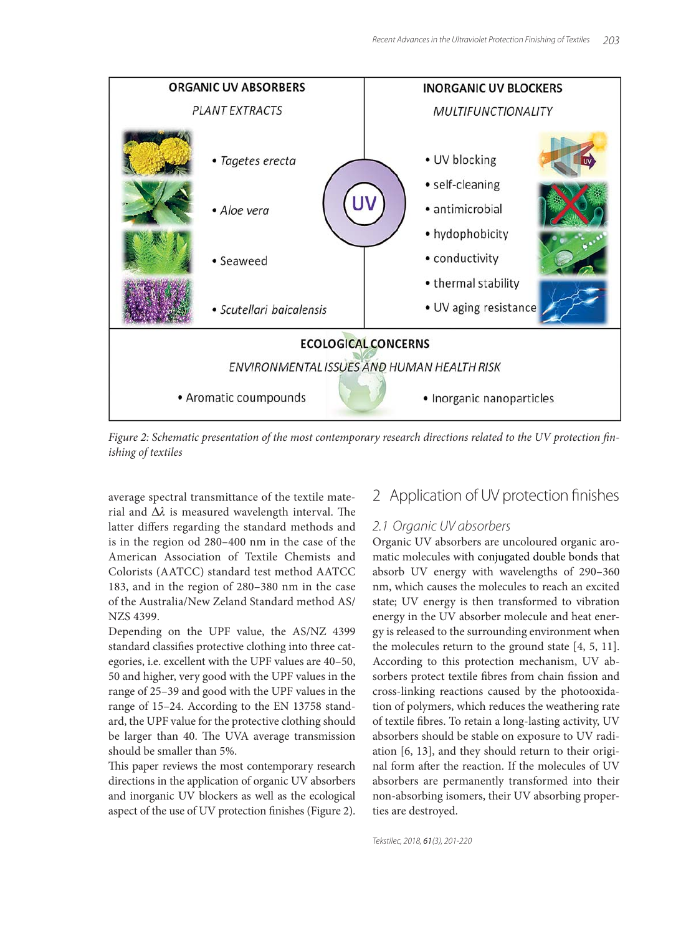

Figure 2: Schematic presentation of the most contemporary research directions related to the UV protection fin*ishing of textiles*

average spectral transmittance of the textile material and  $\Delta\lambda$  is measured wavelength interval. The latter differs regarding the standard methods and is in the region od 280–400 nm in the case of the American Association of Textile Chemists and Colorists (AATCC) standard test method AATCC 183, and in the region of 280–380 nm in the case of the Australia/New Zeland Standard method AS/ NZS 4399.

Depending on the UPF value, the AS/NZ 4399 standard classifies protective clothing into three categories, i.e. excellent with the UPF values are 40–50, 50 and higher, very good with the UPF values in the range of 25–39 and good with the UPF values in the range of 15–24. According to the EN 13758 standard, the UPF value for the protective clothing should be larger than 40. The UVA average transmission should be smaller than 5%.

This paper reviews the most contemporary research directions in the application of organic UV absorbers and inorganic UV blockers as well as the ecological aspect of the use of UV protection finishes (Figure 2).

### 2 Application of UV protection finishes

### 2.1 Organic UV absorbers

Organic UV absorbers are uncoloured organic aromatic molecules with conjugated double bonds that absorb UV energy with wavelengths of 290–360 nm, which causes the molecules to reach an excited state; UV energy is then transformed to vibration energy in the UV absorber molecule and heat energy is released to the surrounding environment when the molecules return to the ground state [4, 5, 11]. According to this protection mechanism, UV absorbers protect textile fibres from chain fission and cross-linking reactions caused by the photooxidation of polymers, which reduces the weathering rate of textile fibres. To retain a long-lasting activity, UV absorbers should be stable on exposure to UV radiation [6, 13], and they should return to their original form after the reaction. If the molecules of UV absorbers are permanently transformed into their non-absorbing isomers, their UV absorbing properties are destroyed.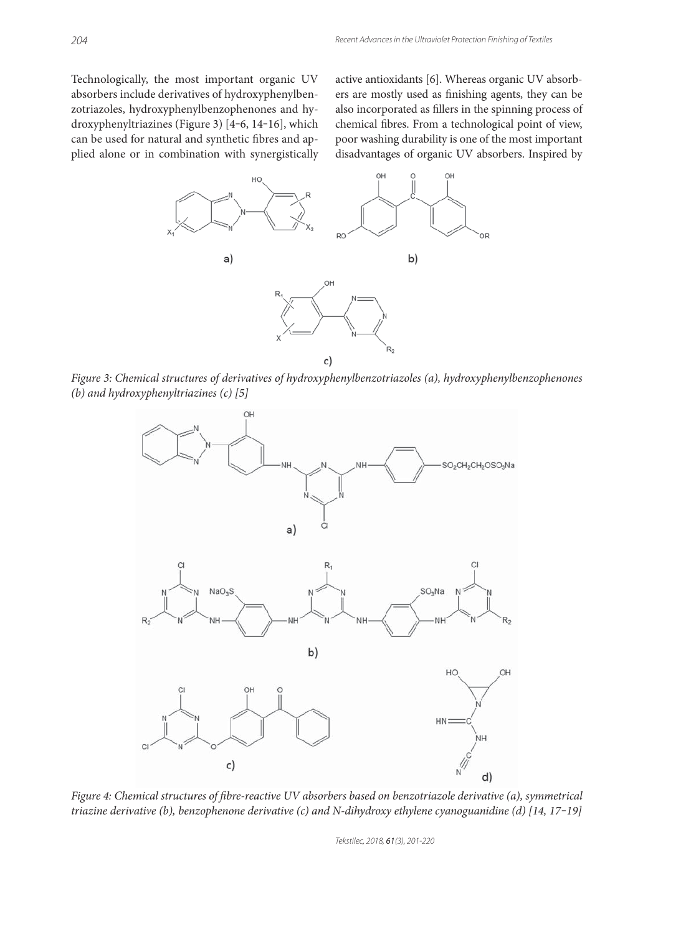Technologically, the most important organic UV absorbers include derivatives of hydroxyphenylbenzotriazoles, hydroxyphenylbenzophenones and hydroxyphenyltriazines (Figure 3) [4-6, 14-16], which can be used for natural and synthetic fibres and applied alone or in combination with synergistically active antioxidants [6]. Whereas organic UV absorbers are mostly used as finishing agents, they can be also incorporated as fillers in the spinning process of chemical fibres. From a technological point of view, poor washing durability is one of the most important disadvantages of organic UV absorbers. Inspired by



*Figure 3: Chemical structures of derivatives of hydroxyphenylbenzotriazoles (a), hydroxyphenylbenzophenones (b) and hydroxyphenyltriazines (c) [5]*



*Figure 4: Chemical structures of fibre-reactive UV absorbers based on benzotriazole derivative (a), symmetrical triazine derivative (b), benzophenone derivative (c) and N-dihydroxy ethylene cyanoguanidine (d) [14, 17‒19]*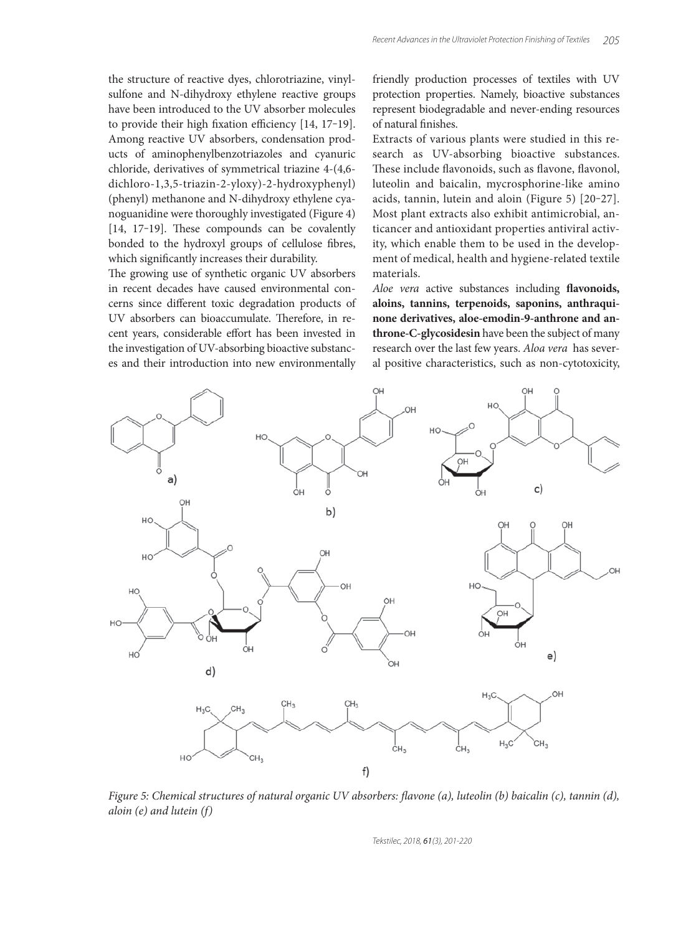the structure of reactive dyes, chlorotriazine, vinylsulfone and N-dihydroxy ethylene reactive groups have been introduced to the UV absorber molecules to provide their high fixation efficiency  $[14, 17-19]$ . Among reactive UV absorbers, condensation products of aminophenylbenzotriazoles and cyanuric chloride, derivatives of symmetrical triazine 4-(4,6 dichloro-1,3,5-triazin-2-yloxy)-2-hydroxyphenyl) (phenyl) methanone and N-dihydroxy ethylene cyanoguanidine were thoroughly investigated (Figure 4) [14, 17-19]. These compounds can be covalently bonded to the hydroxyl groups of cellulose fibres, which significantly increases their durability.

The growing use of synthetic organic UV absorbers in recent decades have caused environmental concerns since different toxic degradation products of UV absorbers can bioaccumulate. Therefore, in recent years, considerable effort has been invested in the investigation of UV-absorbing bioactive substances and their introduction into new environmentally

friendly production processes of textiles with UV protection properties. Namely, bioactive substances represent biodegradable and never-ending resources of natural finishes.

Extracts of various plants were studied in this research as UV-absorbing bioactive substances. These include flavonoids, such as flavone, flavonol, luteolin and baicalin, mycrosphorine-like amino acids, tannin, lutein and aloin (Figure 5) [20‒27]. Most plant extracts also exhibit antimicrobial, anticancer and antioxidant properties antiviral activity, which enable them to be used in the development of medical, health and hygiene-related textile materials.

Aloe vera active substances including **flavonoids**, **aloins, tannins, terpenoids, saponins, anthraquinone derivatives, aloe-emodin-9-anthrone and anthrone-C-glycosidesin** have been the subject of many research over the last few years. *Aloa vera* has several positive characteristics, such as non-cytotoxicity,



*Figure 5: Chemical structures of natural organic UV absorbers: flavone (a), luteolin (b) baicalin (c), tannin (d), aloin (e) and lutein (f)*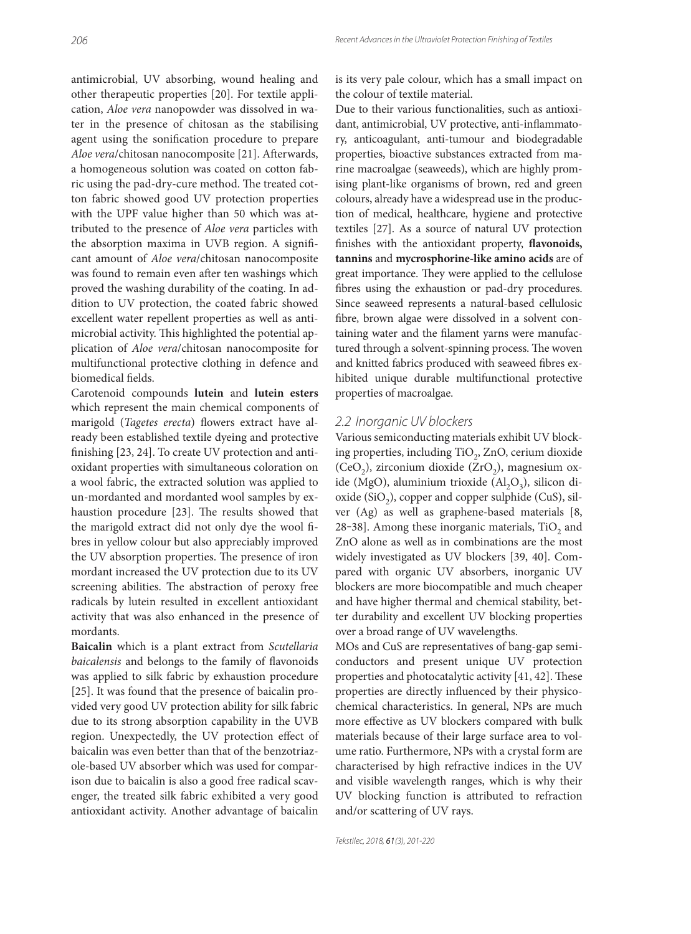antimicrobial, UV absorbing, wound healing and other therapeutic properties [20]. For textile application, *Aloe vera* nanopowder was dissolved in water in the presence of chitosan as the stabilising agent using the sonification procedure to prepare Aloe vera/chitosan nanocomposite [21]. Afterwards, a homogeneous solution was coated on cotton fabric using the pad-dry-cure method. The treated cotton fabric showed good UV protection properties with the UPF value higher than 50 which was attributed to the presence of *Aloe vera* particles with the absorption maxima in UVB region. A significant amount of *Aloe vera*/chitosan nanocomposite was found to remain even after ten washings which proved the washing durability of the coating. In addition to UV protection, the coated fabric showed excellent water repellent properties as well as antimicrobial activity. This highlighted the potential application of *Aloe vera*/chitosan nanocomposite for multifunctional protective clothing in defence and biomedical fields.

Carotenoid compounds **lutein** and **lutein esters** which represent the main chemical components of marigold (*Tagetes erecta*) flowers extract have already been established textile dyeing and protective finishing [23, 24]. To create UV protection and antioxidant properties with simultaneous coloration on a wool fabric, the extracted solution was applied to un-mordanted and mordanted wool samples by exhaustion procedure [23]. The results showed that the marigold extract did not only dye the wool fibres in yellow colour but also appreciably improved the UV absorption properties. The presence of iron mordant increased the UV protection due to its UV screening abilities. The abstraction of peroxy free radicals by lutein resulted in excellent antioxidant activity that was also enhanced in the presence of mordants.

**Baicalin** which is a plant extract from *Scutellaria baicalensis* and belongs to the family of flavonoids was applied to silk fabric by exhaustion procedure [25]. It was found that the presence of baicalin provided very good UV protection ability for silk fabric due to its strong absorption capability in the UVB region. Unexpectedly, the UV protection effect of baicalin was even better than that of the benzotriazole-based UV absorber which was used for comparison due to baicalin is also a good free radical scavenger, the treated silk fabric exhibited a very good antioxidant activity. Another advantage of baicalin

is its very pale colour, which has a small impact on the colour of textile material.

Due to their various functionalities, such as antioxidant, antimicrobial, UV protective, anti-inflammatory, anticoagulant, anti-tumour and biodegradable properties, bioactive substances extracted from marine macroalgae (seaweeds), which are highly promising plant-like organisms of brown, red and green colours, already have a widespread use in the production of medical, healthcare, hygiene and protective textiles [27]. As a source of natural UV protection finishes with the antioxidant property, flavonoids, **tannins** and **mycrosphorine-like amino acids** are of great importance. They were applied to the cellulose fibres using the exhaustion or pad-dry procedures. Since seaweed represents a natural-based cellulosic fibre, brown algae were dissolved in a solvent containing water and the filament yarns were manufactured through a solvent-spinning process. The woven and knitted fabrics produced with seaweed fibres exhibited unique durable multifunctional protective properties of macroalgae.

#### 2.2 Inorganic UV blockers

Various semiconducting materials exhibit UV blocking properties, including TiO<sub>2</sub>, ZnO, cerium dioxide (CeO<sub>2</sub>), zirconium dioxide (ZrO<sub>2</sub>), magnesium oxide (MgO), aluminium trioxide  $(Al_2O_3)$ , silicon dioxide  $(SiO<sub>2</sub>)$ , copper and copper sulphide (CuS), silver (Ag) as well as graphene-based materials [8, 28-38]. Among these inorganic materials,  $TiO<sub>2</sub>$  and ZnO alone as well as in combinations are the most widely investigated as UV blockers [39, 40]. Compared with organic UV absorbers, inorganic UV blockers are more biocompatible and much cheaper and have higher thermal and chemical stability, better durability and excellent UV blocking properties over a broad range of UV wavelengths.

MOs and CuS are representatives of bang-gap semiconductors and present unique UV protection properties and photocatalytic activity  $[41, 42]$ . These properties are directly influenced by their physicochemical characteristics. In general, NPs are much more effective as UV blockers compared with bulk materials because of their large surface area to volume ratio. Furthermore, NPs with a crystal form are characterised by high refractive indices in the UV and visible wavelength ranges, which is why their UV blocking function is attributed to refraction and/or scattering of UV rays.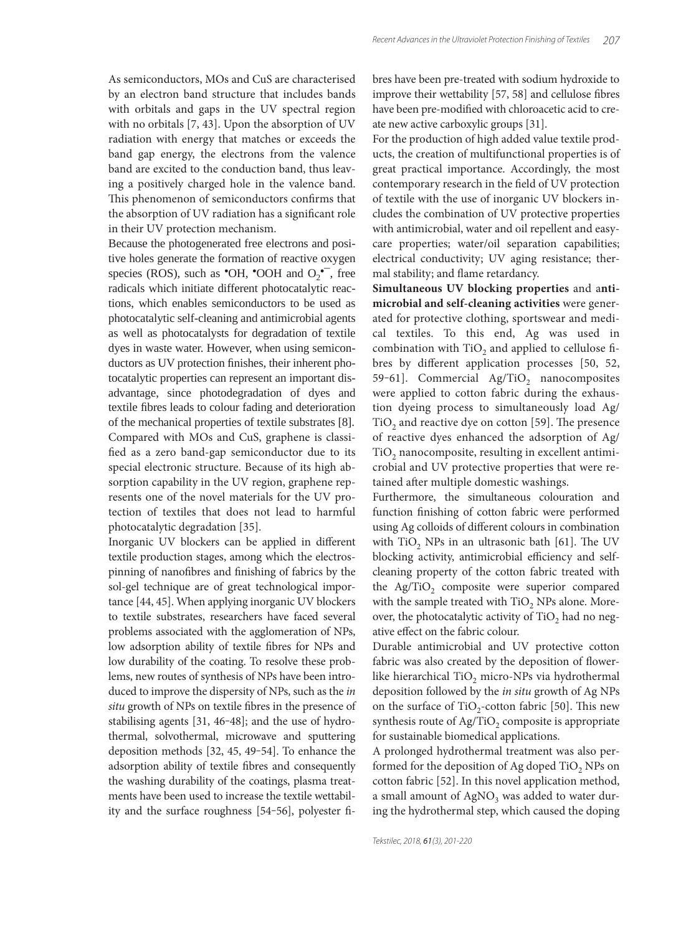As semiconductors, MOs and CuS are characterised by an electron band structure that includes bands with orbitals and gaps in the UV spectral region with no orbitals [7, 43]. Upon the absorption of UV radiation with energy that matches or exceeds the band gap energy, the electrons from the valence band are excited to the conduction band, thus leaving a positively charged hole in the valence band. This phenomenon of semiconductors confirms that the absorption of UV radiation has a significant role in their UV protection mechanism.

Because the photogenerated free electrons and positive holes generate the formation of reactive oxygen species (ROS), such as  $\text{O}-\text{OH}$ ,  $\text{O}-\text{OH}$  and  $O_2\text{O}$ , free radicals which initiate different photocatalytic reactions, which enables semiconductors to be used as photocatalytic self-cleaning and antimicrobial agents as well as photocatalysts for degradation of textile dyes in waste water. However, when using semiconductors as UV protection finishes, their inherent photocatalytic properties can represent an important disadvantage, since photodegradation of dyes and textile fibres leads to colour fading and deterioration of the mechanical properties of textile substrates [8]. Compared with MOs and CuS, graphene is classified as a zero band-gap semiconductor due to its special electronic structure. Because of its high absorption capability in the UV region, graphene represents one of the novel materials for the UV protection of textiles that does not lead to harmful photocatalytic degradation [35].

Inorganic UV blockers can be applied in different textile production stages, among which the electrospinning of nanofibres and finishing of fabrics by the sol-gel technique are of great technological importance [44, 45]. When applying inorganic UV blockers to textile substrates, researchers have faced several problems associated with the agglomeration of NPs, low adsorption ability of textile fibres for NPs and low durability of the coating. To resolve these problems, new routes of synthesis of NPs have been introduced to improve the dispersity of NPs, such as the *in*  situ growth of NPs on textile fibres in the presence of stabilising agents  $[31, 46-48]$ ; and the use of hydrothermal, solvothermal, microwave and sputtering deposition methods [32, 45, 49-54]. To enhance the adsorption ability of textile fibres and consequently the washing durability of the coatings, plasma treatments have been used to increase the textile wettability and the surface roughness [54-56], polyester fibres have been pre-treated with sodium hydroxide to improve their wettability [57, 58] and cellulose fibres have been pre-modified with chloroacetic acid to create new active carboxylic groups [31].

For the production of high added value textile products, the creation of multifunctional properties is of great practical importance. Accordingly, the most contemporary research in the field of UV protection of textile with the use of inorganic UV blockers includes the combination of UV protective properties with antimicrobial, water and oil repellent and easycare properties; water/oil separation capabilities; electrical conductivity; UV aging resistance; thermal stability; and flame retardancy.

**Simultaneous UV blocking properties** and a**ntimicrobial and self-cleaning activities** were generated for protective clothing, sportswear and medical textiles. To this end, Ag was used in combination with  $TiO<sub>2</sub>$  and applied to cellulose fibres by different application processes [50, 52, 59-61]. Commercial Ag/TiO<sub>2</sub> nanocomposites were applied to cotton fabric during the exhaustion dyeing process to simultaneously load Ag/  $TiO<sub>2</sub>$  and reactive dye on cotton [59]. The presence of reactive dyes enhanced the adsorption of Ag/  $TiO<sub>2</sub>$  nanocomposite, resulting in excellent antimicrobial and UV protective properties that were retained after multiple domestic washings.

Furthermore, the simultaneous colouration and function finishing of cotton fabric were performed using Ag colloids of different colours in combination with  $TiO<sub>2</sub>$  NPs in an ultrasonic bath [61]. The UV blocking activity, antimicrobial efficiency and selfcleaning property of the cotton fabric treated with the Ag/TiO<sub>2</sub> composite were superior compared with the sample treated with  $TiO<sub>2</sub>$  NPs alone. Moreover, the photocatalytic activity of  $TiO<sub>2</sub>$  had no negative effect on the fabric colour.

Durable antimicrobial and UV protective cotton fabric was also created by the deposition of flowerlike hierarchical TiO<sub>2</sub> micro-NPs via hydrothermal deposition followed by the *in situ* growth of Ag NPs on the surface of TiO<sub>2</sub>-cotton fabric [50]. This new synthesis route of  $\text{Ag/TiO}_2$  composite is appropriate for sustainable biomedical applications.

A prolonged hydrothermal treatment was also performed for the deposition of Ag doped  $TiO<sub>2</sub>$  NPs on cotton fabric [52]. In this novel application method, a small amount of  $AgNO<sub>3</sub>$  was added to water during the hydrothermal step, which caused the doping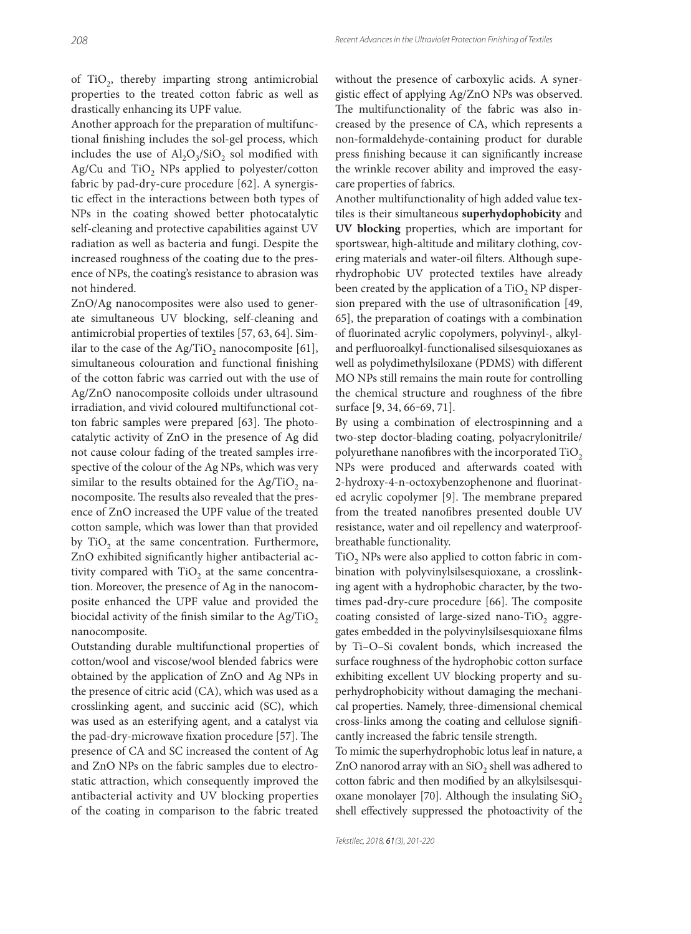of  $TiO<sub>2</sub>$ , thereby imparting strong antimicrobial properties to the treated cotton fabric as well as drastically enhancing its UPF value.

Another approach for the preparation of multifunctional finishing includes the sol-gel process, which includes the use of  $Al_2O_3/SiO_2$  sol modified with Ag/Cu and TiO<sub>2</sub> NPs applied to polyester/cotton fabric by pad-dry-cure procedure [62]. A synergistic effect in the interactions between both types of NPs in the coating showed better photocatalytic self-cleaning and protective capabilities against UV radiation as well as bacteria and fungi. Despite the increased roughness of the coating due to the presence of NPs, the coating's resistance to abrasion was not hindered.

ZnO/Ag nanocomposites were also used to generate simultaneous UV blocking, self-cleaning and antimicrobial properties of textiles [57, 63, 64]. Similar to the case of the Ag/TiO<sub>2</sub> nanocomposite  $[61]$ , simultaneous colouration and functional finishing of the cotton fabric was carried out with the use of Ag/ZnO nanocomposite colloids under ultrasound irradiation, and vivid coloured multifunctional cotton fabric samples were prepared [63]. The photocatalytic activity of ZnO in the presence of Ag did not cause colour fading of the treated samples irrespective of the colour of the Ag NPs, which was very similar to the results obtained for the Ag/TiO<sub>2</sub> nanocomposite. The results also revealed that the presence of ZnO increased the UPF value of the treated cotton sample, which was lower than that provided by TiO<sub>2</sub> at the same concentration. Furthermore, ZnO exhibited significantly higher antibacterial activity compared with  $TiO<sub>2</sub>$  at the same concentration. Moreover, the presence of Ag in the nanocomposite enhanced the UPF value and provided the biocidal activity of the finish similar to the Ag/TiO<sub>2</sub> nanocomposite.

Outstanding durable multifunctional properties of cotton/wool and viscose/wool blended fabrics were obtained by the application of ZnO and Ag NPs in the presence of citric acid (CA), which was used as a crosslinking agent, and succinic acid (SC), which was used as an esterifying agent, and a catalyst via the pad-dry-microwave fixation procedure [57]. The presence of CA and SC increased the content of Ag and ZnO NPs on the fabric samples due to electrostatic attraction, which consequently improved the antibacterial activity and UV blocking properties of the coating in comparison to the fabric treated

without the presence of carboxylic acids. A synergistic effect of applying Ag/ZnO NPs was observed. The multifunctionality of the fabric was also increased by the presence of CA, which represents a non-formaldehyde-containing product for durable press finishing because it can significantly increase the wrinkle recover ability and improved the easycare properties of fabrics.

Another multifunctionality of high added value textiles is their simultaneous **superhydophobicity** and **UV blocking** properties, which are important for sportswear, high-altitude and military clothing, covering materials and water-oil filters. Although superhydrophobic UV protected textiles have already been created by the application of a TiO<sub>2</sub> NP dispersion prepared with the use of ultrasonification [49, 65], the preparation of coatings with a combination of fluorinated acrylic copolymers, polyvinyl-, alkyland perfluoroalkyl-functionalised silsesquioxanes as well as polydimethylsiloxane (PDMS) with different MO NPs still remains the main route for controlling the chemical structure and roughness of the fibre surface [9, 34, 66-69, 71].

By using a combination of electrospinning and a two-step doctor-blading coating, polyacrylonitrile/ polyurethane nanofibres with the incorporated  $TiO<sub>2</sub>$ NPs were produced and afterwards coated with 2-hydroxy-4-n-octoxybenzophenone and fluorinated acrylic copolymer [9]. The membrane prepared from the treated nanofibres presented double UV resistance, water and oil repellency and waterproofbreathable functionality.

TiO<sub>2</sub> NPs were also applied to cotton fabric in combination with polyvinylsilsesquioxane, a crosslinking agent with a hydrophobic character, by the twotimes pad-dry-cure procedure [66]. The composite coating consisted of large-sized nano-TiO<sub>2</sub> aggregates embedded in the polyvinylsilsesquioxane films by Ti–O–Si covalent bonds, which increased the surface roughness of the hydrophobic cotton surface exhibiting excellent UV blocking property and superhydrophobicity without damaging the mechanical properties. Namely, three-dimensional chemical cross-links among the coating and cellulose signifi cantly increased the fabric tensile strength.

To mimic the superhydrophobic lotus leaf in nature, a ZnO nanorod array with an  $SiO<sub>2</sub>$  shell was adhered to cotton fabric and then modified by an alkylsilsesquioxane monolayer [70]. Although the insulating  $SiO<sub>2</sub>$ shell effectively suppressed the photoactivity of the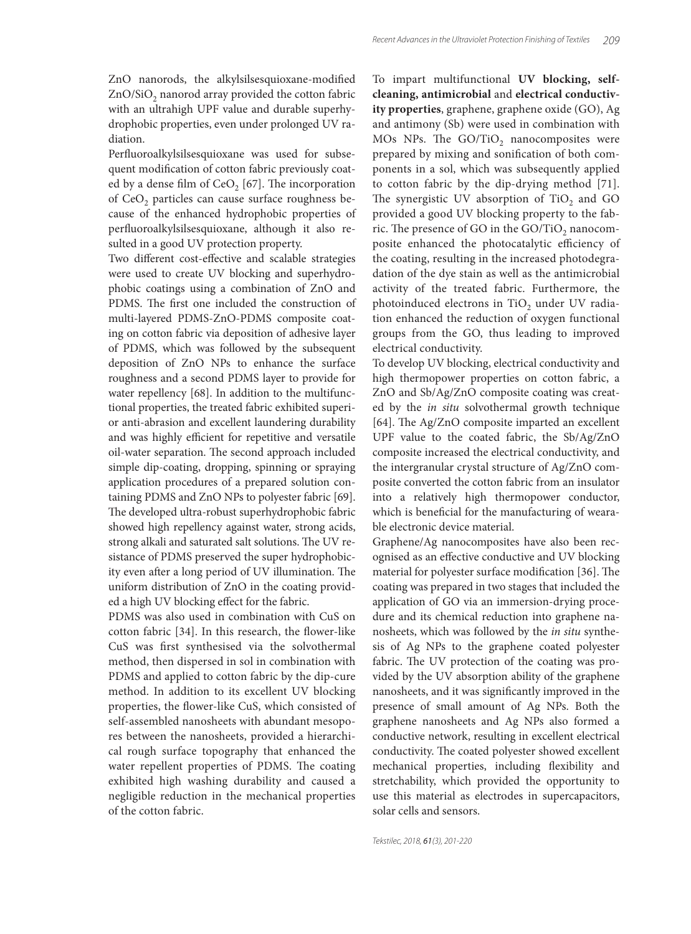ZnO nanorods, the alkylsilsesquioxane-modified  $ZnO/SiO<sub>2</sub>$  nanorod array provided the cotton fabric with an ultrahigh UPF value and durable superhydrophobic properties, even under prolonged UV radiation.

Perfluoroalkylsilsesquioxane was used for subsequent modification of cotton fabric previously coated by a dense film of  $CeO<sub>2</sub>$  [67]. The incorporation of CeO<sub>2</sub> particles can cause surface roughness because of the enhanced hydrophobic properties of perfluoroalkylsilsesquioxane, although it also resulted in a good UV protection property.

Two different cost-effective and scalable strategies were used to create UV blocking and superhydrophobic coatings using a combination of ZnO and PDMS. The first one included the construction of multi-layered PDMS-ZnO-PDMS composite coating on cotton fabric via deposition of adhesive layer of PDMS, which was followed by the subsequent deposition of ZnO NPs to enhance the surface roughness and a second PDMS layer to provide for water repellency [68]. In addition to the multifunctional properties, the treated fabric exhibited superior anti-abrasion and excellent laundering durability and was highly efficient for repetitive and versatile oil-water separation. The second approach included simple dip-coating, dropping, spinning or spraying application procedures of a prepared solution containing PDMS and ZnO NPs to polyester fabric [69]. The developed ultra-robust superhydrophobic fabric showed high repellency against water, strong acids, strong alkali and saturated salt solutions. The UV resistance of PDMS preserved the super hydrophobicity even after a long period of UV illumination. The uniform distribution of ZnO in the coating provided a high UV blocking effect for the fabric.

PDMS was also used in combination with CuS on cotton fabric [34]. In this research, the flower-like CuS was first synthesised via the solvothermal method, then dispersed in sol in combination with PDMS and applied to cotton fabric by the dip-cure method. In addition to its excellent UV blocking properties, the flower-like CuS, which consisted of self-assembled nanosheets with abundant mesopores between the nanosheets, provided a hierarchical rough surface topography that enhanced the water repellent properties of PDMS. The coating exhibited high washing durability and caused a negligible reduction in the mechanical properties of the cotton fabric.

To impart multifunctional **UV blocking, selfcleaning, antimicrobial** and **electrical conductivity properties**, graphene, graphene oxide (GO), Ag and antimony (Sb) were used in combination with MOs NPs. The GO/TiO<sub>2</sub> nanocomposites were prepared by mixing and sonification of both components in a sol, which was subsequently applied to cotton fabric by the dip-drying method [71]. The synergistic UV absorption of TiO<sub>2</sub> and GO provided a good UV blocking property to the fabric. The presence of GO in the GO/TiO<sub>2</sub> nanocomposite enhanced the photocatalytic efficiency of the coating, resulting in the increased photodegradation of the dye stain as well as the antimicrobial activity of the treated fabric. Furthermore, the photoinduced electrons in TiO<sub>2</sub> under UV radiation enhanced the reduction of oxygen functional groups from the GO, thus leading to improved electrical conductivity.

To develop UV blocking, electrical conductivity and high thermopower properties on cotton fabric, a ZnO and Sb/Ag/ZnO composite coating was created by the *in situ* solvothermal growth technique  $[64]$ . The Ag/ZnO composite imparted an excellent UPF value to the coated fabric, the Sb/Ag/ZnO composite increased the electrical conductivity, and the intergranular crystal structure of Ag/ZnO composite converted the cotton fabric from an insulator into a relatively high thermopower conductor, which is beneficial for the manufacturing of wearable electronic device material.

Graphene/Ag nanocomposites have also been recognised as an effective conductive and UV blocking material for polyester surface modification [36]. The coating was prepared in two stages that included the application of GO via an immersion-drying procedure and its chemical reduction into graphene nanosheets, which was followed by the *in situ* synthesis of Ag NPs to the graphene coated polyester fabric. The UV protection of the coating was provided by the UV absorption ability of the graphene nanosheets, and it was significantly improved in the presence of small amount of Ag NPs. Both the graphene nanosheets and Ag NPs also formed a conductive network, resulting in excellent electrical conductivity. The coated polyester showed excellent mechanical properties, including flexibility and stretchability, which provided the opportunity to use this material as electrodes in supercapacitors, solar cells and sensors.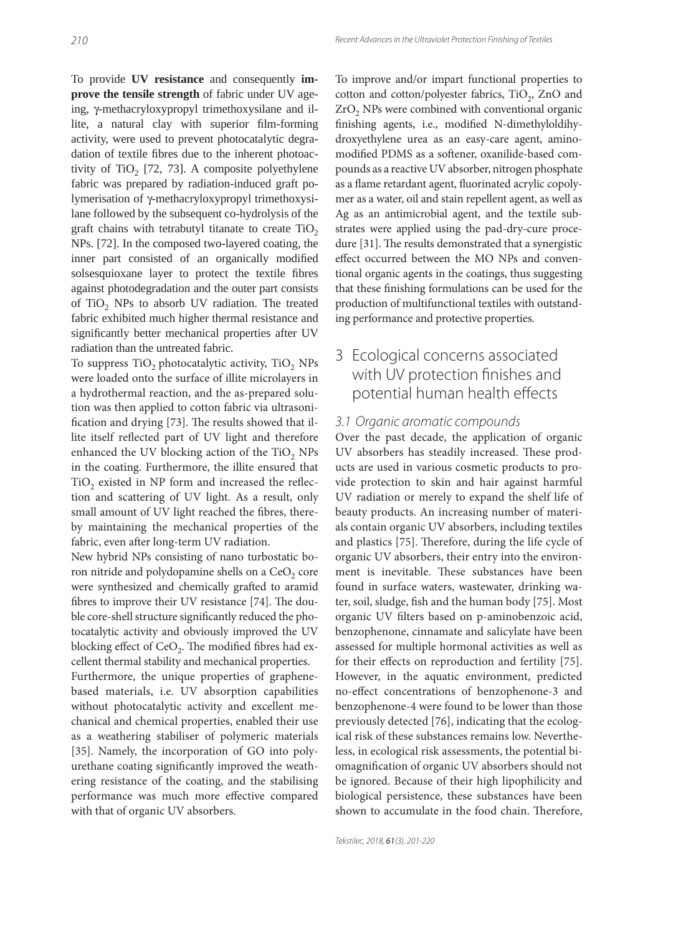To provide **UV resistance** and consequently **improve the tensile strength** of fabric under UV ageing, γ-methacryloxypropyl trimethoxysilane and illite, a natural clay with superior film-forming activity, were used to prevent photocatalytic degradation of textile fibres due to the inherent photoactivity of TiO<sub>2</sub> [72, 73]. A composite polyethylene fabric was prepared by radiation-induced graft polymerisation of γ-methacryloxypropyl trimethoxysilane followed by the subsequent co-hydrolysis of the graft chains with tetrabutyl titanate to create  $TiO<sub>2</sub>$ NPs. [72]. In the composed two-layered coating, the inner part consisted of an organically modified solsesquioxane layer to protect the textile fibres against photodegradation and the outer part consists of TiO<sub>2</sub> NPs to absorb UV radiation. The treated fabric exhibited much higher thermal resistance and significantly better mechanical properties after UV radiation than the untreated fabric.

To suppress TiO<sub>2</sub> photocatalytic activity, TiO<sub>2</sub> NPs were loaded onto the surface of illite microlayers in a hydrothermal reaction, and the as-prepared solution was then applied to cotton fabric via ultrasonification and drying [73]. The results showed that illite itself reflected part of UV light and therefore enhanced the UV blocking action of the TiO<sub>2</sub> NPs in the coating. Furthermore, the illite ensured that TiO<sub>2</sub> existed in NP form and increased the reflection and scattering of UV light. As a result, only small amount of UV light reached the fibres, thereby maintaining the mechanical properties of the fabric, even after long-term UV radiation.

New hybrid NPs consisting of nano turbostatic boron nitride and polydopamine shells on a  $CeO<sub>2</sub>$  core were synthesized and chemically grafted to aramid fibres to improve their UV resistance [74]. The double core-shell structure significantly reduced the photocatalytic activity and obviously improved the UV blocking effect of  $CeO<sub>2</sub>$ . The modified fibres had excellent thermal stability and mechanical properties.

Furthermore, the unique properties of graphenebased materials, i.e. UV absorption capabilities without photocatalytic activity and excellent mechanical and chemical properties, enabled their use as a weathering stabiliser of polymeric materials [35]. Namely, the incorporation of GO into polyurethane coating significantly improved the weathering resistance of the coating, and the stabilising performance was much more effective compared with that of organic UV absorbers.

To improve and/or impart functional properties to cotton and cotton/polyester fabrics, TiO<sub>2</sub>, ZnO and ZrO<sub>2</sub> NPs were combined with conventional organic finishing agents, i.e., modified N-dimethyloldihydroxyethylene urea as an easy-care agent, aminomodified PDMS as a softener, oxanilide-based compounds as a reactive UV absorber, nitrogen phosphate as a flame retardant agent, fluorinated acrylic copolymer as a water, oil and stain repellent agent, as well as Ag as an antimicrobial agent, and the textile substrates were applied using the pad-dry-cure procedure [31]. The results demonstrated that a synergistic effect occurred between the MO NPs and conventional organic agents in the coatings, thus suggesting that these finishing formulations can be used for the production of multifunctional textiles with outstanding performance and protective properties.

# 3 Ecological concerns associated with UV protection finishes and potential human health effects

#### 3.1 Organic aromatic compounds

Over the past decade, the application of organic UV absorbers has steadily increased. These products are used in various cosmetic products to provide protection to skin and hair against harmful UV radiation or merely to expand the shelf life of beauty products. An increasing number of materials contain organic UV absorbers, including textiles and plastics [75]. Therefore, during the life cycle of organic UV absorbers, their entry into the environment is inevitable. These substances have been found in surface waters, wastewater, drinking water, soil, sludge, fish and the human body [75]. Most organic UV filters based on p-aminobenzoic acid, benzophenone, cinnamate and salicylate have been assessed for multiple hormonal activities as well as for their effects on reproduction and fertility [75]. However, in the aquatic environment, predicted no-effect concentrations of benzophenone-3 and benzophenone-4 were found to be lower than those previously detected [76], indicating that the ecological risk of these substances remains low. Nevertheless, in ecological risk assessments, the potential biomagnification of organic UV absorbers should not be ignored. Because of their high lipophilicity and biological persistence, these substances have been shown to accumulate in the food chain. Therefore,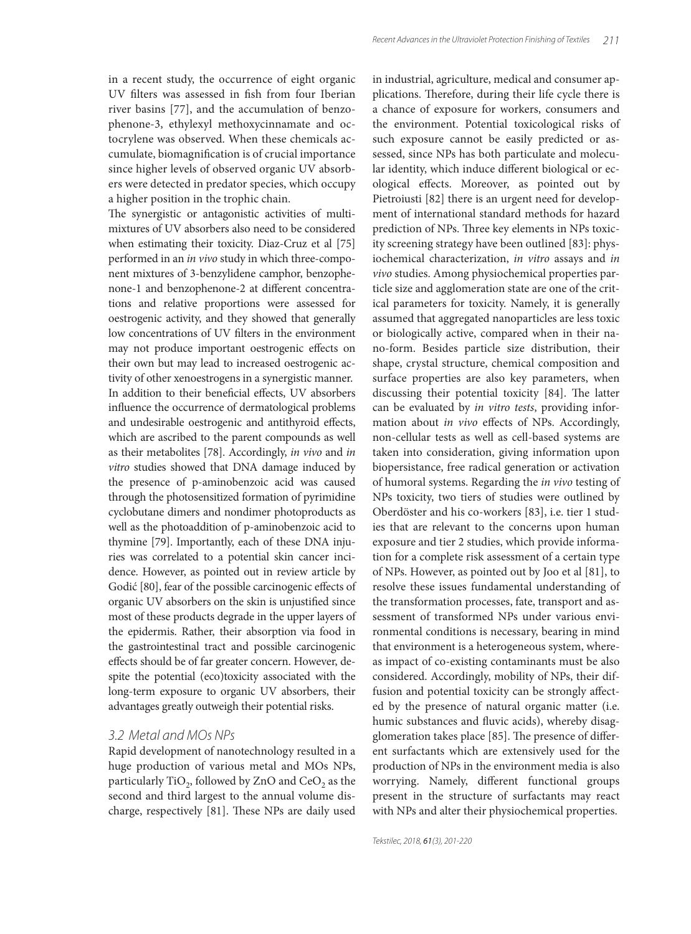in a recent study, the occurrence of eight organic UV filters was assessed in fish from four Iberian river basins [77], and the accumulation of benzophenone-3, ethylexyl methoxycinnamate and octocrylene was observed. When these chemicals accumulate, biomagnification is of crucial importance since higher levels of observed organic UV absorbers were detected in predator species, which occupy a higher position in the trophic chain.

The synergistic or antagonistic activities of multimixtures of UV absorbers also need to be considered when estimating their toxicity. Diaz-Cruz et al [75] performed in an *in vivo* study in which three-component mixtures of 3-benzylidene camphor, benzophenone-1 and benzophenone-2 at different concentrations and relative proportions were assessed for oestrogenic activity, and they showed that generally low concentrations of UV filters in the environment may not produce important oestrogenic effects on their own but may lead to increased oestrogenic activity of other xenoestrogens in a synergistic manner. In addition to their beneficial effects, UV absorbers influence the occurrence of dermatological problems and undesirable oestrogenic and antithyroid effects, which are ascribed to the parent compounds as well as their metabolites [78]. Accordingly, *in vivo* and *in vitro* studies showed that DNA damage induced by the presence of p-aminobenzoic acid was caused through the photosensitized formation of pyrimidine cyclobutane dimers and nondimer photoproducts as well as the photoaddition of p-aminobenzoic acid to thymine [79]. Importantly, each of these DNA injuries was correlated to a potential skin cancer incidence. However, as pointed out in review article by Godić [80], fear of the possible carcinogenic effects of organic UV absorbers on the skin is unjustified since most of these products degrade in the upper layers of the epidermis. Rather, their absorption via food in the gastrointestinal tract and possible carcinogenic effects should be of far greater concern. However, despite the potential (eco)toxicity associated with the long-term exposure to organic UV absorbers, their advantages greatly outweigh their potential risks.

#### 3.2 Metal and MOs NPs

Rapid development of nanotechnology resulted in a huge production of various metal and MOs NPs, particularly TiO<sub>2</sub>, followed by ZnO and CeO<sub>2</sub> as the second and third largest to the annual volume discharge, respectively [81]. These NPs are daily used in industrial, agriculture, medical and consumer applications. Therefore, during their life cycle there is a chance of exposure for workers, consumers and the environment. Potential toxicological risks of such exposure cannot be easily predicted or assessed, since NPs has both particulate and molecular identity, which induce different biological or ecological effects. Moreover, as pointed out by Pietroiusti [82] there is an urgent need for development of international standard methods for hazard prediction of NPs. Three key elements in NPs toxicity screening strategy have been outlined [83]: physiochemical characterization, *in vitro* assays and *in vivo* studies. Among physiochemical properties particle size and agglomeration state are one of the critical parameters for toxicity. Namely, it is generally assumed that aggregated nanoparticles are less toxic or biologically active, compared when in their nano-form. Besides particle size distribution, their shape, crystal structure, chemical composition and surface properties are also key parameters, when discussing their potential toxicity [84]. The latter can be evaluated by *in vitro tests*, providing information about *in vivo* effects of NPs. Accordingly, non-cellular tests as well as cell-based systems are taken into consideration, giving information upon biopersistance, free radical generation or activation of humoral systems. Regarding the *in vivo* testing of NPs toxicity, two tiers of studies were outlined by Oberdöster and his co-workers [83], i.e. tier 1 studies that are relevant to the concerns upon human exposure and tier 2 studies, which provide information for a complete risk assessment of a certain type of NPs. However, as pointed out by Joo et al [81], to resolve these issues fundamental understanding of the transformation processes, fate, transport and assessment of transformed NPs under various environmental conditions is necessary, bearing in mind that environment is a heterogeneous system, whereas impact of co-existing contaminants must be also considered. Accordingly, mobility of NPs, their diffusion and potential toxicity can be strongly affected by the presence of natural organic matter (i.e. humic substances and fluvic acids), whereby disagglomeration takes place [85]. The presence of different surfactants which are extensively used for the production of NPs in the environment media is also worrying. Namely, different functional groups present in the structure of surfactants may react with NPs and alter their physiochemical properties.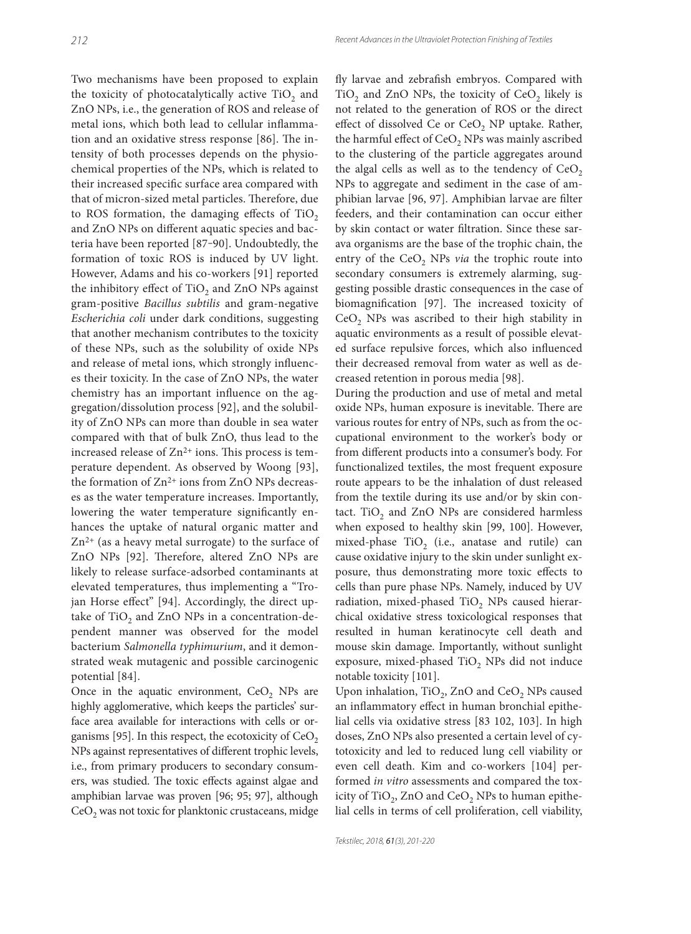Two mechanisms have been proposed to explain the toxicity of photocatalytically active  $TiO<sub>2</sub>$  and ZnO NPs, i.e., the generation of ROS and release of metal ions, which both lead to cellular inflammation and an oxidative stress response [86]. The intensity of both processes depends on the physiochemical properties of the NPs, which is related to their increased specific surface area compared with that of micron-sized metal particles. Therefore, due to ROS formation, the damaging effects of TiO<sub>2</sub> and ZnO NPs on different aquatic species and bacteria have been reported [87‒90]. Undoubtedly, the formation of toxic ROS is induced by UV light. However, Adams and his co-workers [91] reported the inhibitory effect of TiO<sub>2</sub> and ZnO NPs against gram-positive *Bacillus subtilis* and gram-negative *Escherichia coli* under dark conditions, suggesting that another mechanism contributes to the toxicity of these NPs, such as the solubility of oxide NPs and release of metal ions, which strongly influences their toxicity. In the case of ZnO NPs, the water chemistry has an important influence on the aggregation/dissolution process [92], and the solubility of ZnO NPs can more than double in sea water compared with that of bulk ZnO, thus lead to the increased release of  $Zn^{2+}$  ions. This process is temperature dependent. As observed by Woong [93], the formation of  $Zn^{2+}$  ions from  $ZnO$  NPs decreases as the water temperature increases. Importantly, lowering the water temperature significantly enhances the uptake of natural organic matter and  $Zn^{2+}$  (as a heavy metal surrogate) to the surface of ZnO NPs [92]. Therefore, altered ZnO NPs are likely to release surface-adsorbed contaminants at elevated temperatures, thus implementing a "Trojan Horse effect" [94]. Accordingly, the direct uptake of TiO<sub>2</sub> and ZnO NPs in a concentration-dependent manner was observed for the model bacterium *Salmonella typhimurium*, and it demonstrated weak mutagenic and possible carcinogenic potential [84].

Once in the aquatic environment,  $CeO<sub>2</sub>$  NPs are highly agglomerative, which keeps the particles' surface area available for interactions with cells or organisms [95]. In this respect, the ecotoxicity of  $CeO<sub>2</sub>$ NPs against representatives of different trophic levels, i.e., from primary producers to secondary consumers, was studied. The toxic effects against algae and amphibian larvae was proven [96; 95; 97], although  $CeO<sub>2</sub>$  was not toxic for planktonic crustaceans, midge

fly larvae and zebrafish embryos. Compared with  $TiO<sub>2</sub>$  and ZnO NPs, the toxicity of CeO<sub>2</sub> likely is not related to the generation of ROS or the direct effect of dissolved Ce or  $CeO<sub>2</sub>$  NP uptake. Rather, the harmful effect of CeO<sub>2</sub> NPs was mainly ascribed to the clustering of the particle aggregates around the algal cells as well as to the tendency of  $CeO<sub>2</sub>$ NPs to aggregate and sediment in the case of amphibian larvae [96, 97]. Amphibian larvae are filter feeders, and their contamination can occur either by skin contact or water filtration. Since these sarava organisms are the base of the trophic chain, the entry of the CeO<sub>2</sub> NPs *via* the trophic route into secondary consumers is extremely alarming, suggesting possible drastic consequences in the case of biomagnification [97]. The increased toxicity of  $CeO<sub>2</sub>$  NPs was ascribed to their high stability in aquatic environments as a result of possible elevated surface repulsive forces, which also influenced their decreased removal from water as well as decreased retention in porous media [98].

During the production and use of metal and metal oxide NPs, human exposure is inevitable. There are various routes for entry of NPs, such as from the occupational environment to the worker's body or from different products into a consumer's body. For functionalized textiles, the most frequent exposure route appears to be the inhalation of dust released from the textile during its use and/or by skin contact. TiO<sub>2</sub> and ZnO NPs are considered harmless when exposed to healthy skin [99, 100]. However, mixed-phase  $TiO<sub>2</sub>$  (i.e., anatase and rutile) can cause oxidative injury to the skin under sunlight exposure, thus demonstrating more toxic effects to cells than pure phase NPs. Namely, induced by UV radiation, mixed-phased  $TiO<sub>2</sub>$  NPs caused hierarchical oxidative stress toxicological responses that resulted in human keratinocyte cell death and mouse skin damage. Importantly, without sunlight exposure, mixed-phased  $TiO<sub>2</sub>$  NPs did not induce notable toxicity [101].

Upon inhalation,  $TiO<sub>2</sub>$ , ZnO and CeO<sub>2</sub> NPs caused an inflammatory effect in human bronchial epithelial cells via oxidative stress [83 102, 103]. In high doses, ZnO NPs also presented a certain level of cytotoxicity and led to reduced lung cell viability or even cell death. Kim and co-workers [104] performed *in vitro* assessments and compared the toxicity of TiO<sub>2</sub>, ZnO and CeO<sub>2</sub> NPs to human epithelial cells in terms of cell proliferation, cell viability,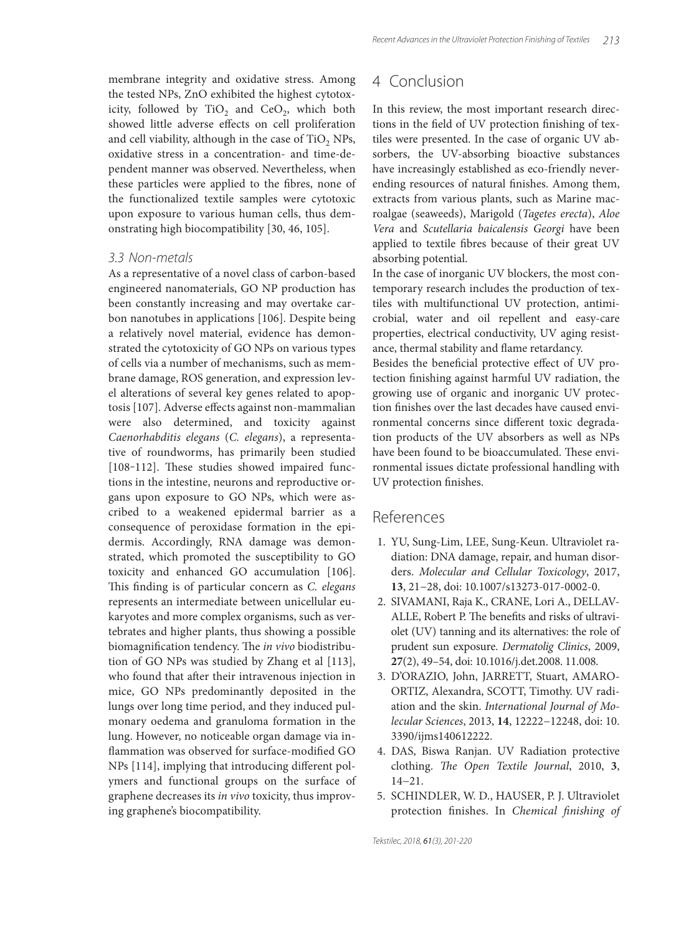membrane integrity and oxidative stress. Among the tested NPs, ZnO exhibited the highest cytotoxicity, followed by  $TiO<sub>2</sub>$  and  $CeO<sub>2</sub>$ , which both showed little adverse effects on cell proliferation and cell viability, although in the case of  $TiO<sub>2</sub>$  NPs, oxidative stress in a concentration- and time-dependent manner was observed. Nevertheless, when these particles were applied to the fibres, none of the functionalized textile samples were cytotoxic upon exposure to various human cells, thus demonstrating high biocompatibility [30, 46, 105].

#### 3.3 Non-metals

As a representative of a novel class of carbon-based engineered nanomaterials, GO NP production has been constantly increasing and may overtake carbon nanotubes in applications [106]. Despite being a relatively novel material, evidence has demonstrated the cytotoxicity of GO NPs on various types of cells via a number of mechanisms, such as membrane damage, ROS generation, and expression level alterations of several key genes related to apoptosis [107]. Adverse effects against non-mammalian were also determined, and toxicity against *Caenorhabditis elegans* (*C. elegans*), a representative of roundworms, has primarily been studied [108-112]. These studies showed impaired functions in the intestine, neurons and reproductive organs upon exposure to GO NPs, which were ascribed to a weakened epidermal barrier as a consequence of peroxidase formation in the epidermis. Accordingly, RNA damage was demonstrated, which promoted the susceptibility to GO toxicity and enhanced GO accumulation [106]. This finding is of particular concern as *C. elegans* represents an intermediate between unicellular eukaryotes and more complex organisms, such as vertebrates and higher plants, thus showing a possible biomagnification tendency. The *in vivo* biodistribution of GO NPs was studied by Zhang et al [113], who found that after their intravenous injection in mice, GO NPs predominantly deposited in the lungs over long time period, and they induced pulmonary oedema and granuloma formation in the lung. However, no noticeable organ damage via inflammation was observed for surface-modified GO NPs [114], implying that introducing different polymers and functional groups on the surface of graphene decreases its *in vivo* toxicity, thus improving graphene's biocompatibility.

### 4 Conclusion

In this review, the most important research directions in the field of UV protection finishing of textiles were presented. In the case of organic UV absorbers, the UV-absorbing bioactive substances have increasingly established as eco-friendly neverending resources of natural finishes. Among them, extracts from various plants, such as Marine macroalgae (seaweeds), Marigold (*Tagetes erecta*), *Aloe Vera* and *Scutellaria baicalensis Georgi* have been applied to textile fibres because of their great UV absorbing potential.

In the case of inorganic UV blockers, the most contemporary research includes the production of textiles with multifunctional UV protection, antimicrobial, water and oil repellent and easy-care properties, electrical conductivity, UV aging resistance, thermal stability and flame retardancy.

Besides the beneficial protective effect of UV protection finishing against harmful UV radiation, the growing use of organic and inorganic UV protection finishes over the last decades have caused environmental concerns since different toxic degradation products of the UV absorbers as well as NPs have been found to be bioaccumulated. These environmental issues dictate professional handling with UV protection finishes.

### References

- 1. YU, Sung-Lim, LEE, Sung-Keun. Ultraviolet radiation: DNA damage, repair, and human disorders. *Molecular and Cellular Toxicology*, 2017, **13**, 21−28, doi: 10.1007/s13273-017-0002-0.
- 2. SIVAMANI, Raja K., CRANE, Lori A., DELLAV-ALLE, Robert P. The benefits and risks of ultraviolet (UV) tanning and its alternatives: the role of prudent sun exposure. *Dermatolig Clinics*, 2009, **27**(2), 49–54, doi: 10.1016/j.det.2008. 11.008.
- 3. D'ORAZIO, John, JARRETT, Stuart, AMARO-ORTIZ, Alexandra, SCOTT, Timothy. UV radiation and the skin. *International Journal of Molecular Sciences*, 2013, **14**, 12222−12248, doi: 10. 3390/ijms140612222.
- 4. DAS, Biswa Ranjan. UV Radiation protective clothing. *The Open Textile Journal*, 2010, 3, 14−21.
- 5. SCHINDLER, W. D., HAUSER, P. J. Ultraviolet protection finishes. In *Chemical finishing of*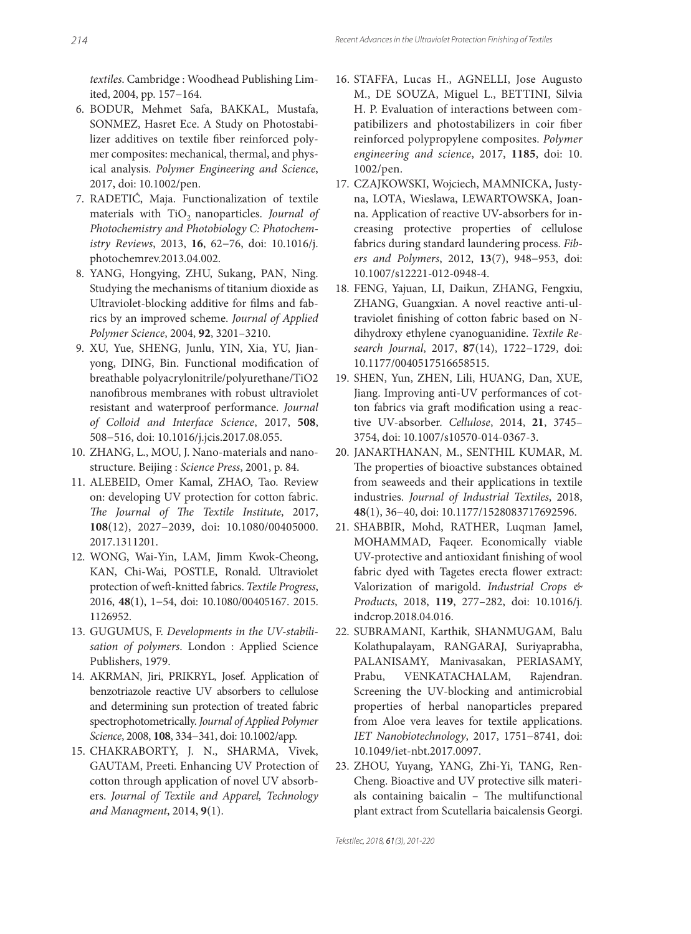*textiles*. Cambridge : Woodhead Publishing Limited, 2004, pp. 157−164.

- 6. BODUR, Mehmet Safa, BAKKAL, Mustafa, SONMEZ, Hasret Ece. A Study on Photostabilizer additives on textile fiber reinforced polymer composites: mechanical, thermal, and physical analysis. *Polymer Engineering and Science*, 2017, doi: 10.1002/pen.
- 7. RADETIĆ, Maja. Functionalization of textile materials with TiO<sub>2</sub> nanoparticles. *Journal of Photochemistry and Photobiology C: Photochemistry Reviews*, 2013, **16**, 62−76, doi: 10.1016/j. photochemrev.2013.04.002.
- 8. YANG, Hongying, ZHU, Sukang, PAN, Ning. Studying the mechanisms of titanium dioxide as Ultraviolet-blocking additive for films and fabrics by an improved scheme. *Journal of Applied Polymer Science*, 2004, **92**, 3201–3210.
- 9. XU, Yue, SHENG, Junlu, YIN, Xia, YU, Jianyong, DING, Bin. Functional modification of breathable polyacrylonitrile/polyurethane/TiO2 nanofibrous membranes with robust ultraviolet resistant and waterproof performance. *Journal of Colloid and Interface Science*, 2017, **508**, 508−516, doi: 10.1016/j.jcis.2017.08.055.
- 10. ZHANG, L., MOU, J. Nano-materials and nanostructure. Beijing : *Science Press*, 2001, p. 84.
- 11. ALEBEID, Omer Kamal, ZHAO, Tao. Review on: developing UV protection for cotton fabric. The Journal of The Textile Institute, 2017, **108**(12), 2027−2039, doi: 10.1080/00405000. 2017.1311201.
- 12. WONG, Wai-Yin, LAM, Jimm Kwok-Cheong, KAN, Chi-Wai, POSTLE, Ronald. Ultraviolet protection of weft -knitted fabrics. *Textile Progress*, 2016, **48**(1), 1−54, doi: 10.1080/00405167. 2015. 1126952.
- 13. GUGUMUS, F. *Developments in the UV-stabilisation of polymers*. London : Applied Science Publishers, 1979.
- 14. AKRMAN, Jiri, PRIKRYL, Josef. Application of benzotriazole reactive UV absorbers to cellulose and determining sun protection of treated fabric spectrophotometrically. *Journal of Applied Polymer Science*, 2008, **108**, 334−341, doi: 10.1002/app.
- 15. CHAKRABORTY, J. N., SHARMA, Vivek, GAUTAM, Preeti. Enhancing UV Protection of cotton through application of novel UV absorbers. *Journal of Textile and Apparel, Technology and Managment*, 2014, **9**(1).
- 16. STAFFA, Lucas H., AGNELLI, Jose Augusto M., DE SOUZA, Miguel L., BETTINI, Silvia H. P. Evaluation of interactions between compatibilizers and photostabilizers in coir fiber reinforced polypropylene composites. *Polymer engineering and science*, 2017, **1185**, doi: 10. 1002/pen.
- 17. CZAJKOWSKI, Wojciech, MAMNICKA, Justyna, LOTA, Wieslawa, LEWARTOWSKA, Joanna. Application of reactive UV-absorbers for increasing protective properties of cellulose fabrics during standard laundering process. *Fibers and Polymers*, 2012, **13**(7), 948−953, doi: 10.1007/s12221-012-0948-4.
- 18. FENG, Yajuan, LI, Daikun, ZHANG, Fengxiu, ZHANG, Guangxian. A novel reactive anti-ultraviolet finishing of cotton fabric based on Ndihydroxy ethylene cyanoguanidine. *Textile Research Journal*, 2017, **87**(14), 1722−1729, doi: 10.1177/0040517516658515.
- 19. SHEN, Yun, ZHEN, Lili, HUANG, Dan, XUE, Jiang. Improving anti-UV performances of cotton fabrics via graft modification using a reactive UV-absorber. *Cellulose*, 2014, **21**, 3745– 3754, doi: 10.1007/s10570-014-0367-3.
- 20. JANARTHANAN, M., SENTHIL KUMAR, M. The properties of bioactive substances obtained from seaweeds and their applications in textile industries. *Journal of Industrial Textiles*, 2018, **48**(1), 36−40, doi: 10.1177/1528083717692596.
- 21. SHABBIR, Mohd, RATHER, Luqman Jamel, MOHAMMAD, Faqeer. Economically viable UV-protective and antioxidant finishing of wool fabric dyed with Tagetes erecta flower extract: Valorization of marigold. *Industrial Crops & Products*, 2018, **119**, 277–282, doi: 10.1016/j. indcrop.2018.04.016.
- 22. SUBRAMANI, Karthik, SHANMUGAM, Balu Kolathupalayam, RANGARAJ, Suriyaprabha, PALANISAMY, Manivasakan, PERIASAMY, Prabu, VENKATACHALAM, Rajendran. Screening the UV-blocking and antimicrobial properties of herbal nanoparticles prepared from Aloe vera leaves for textile applications. *IET Nanobiotechnology*, 2017, 1751−8741, doi: 10.1049/iet-nbt.2017.0097.
- 23. ZHOU, Yuyang, YANG, Zhi-Yi, TANG, Ren-Cheng. Bioactive and UV protective silk materials containing baicalin  $-$  The multifunctional plant extract from Scutellaria baicalensis Georgi.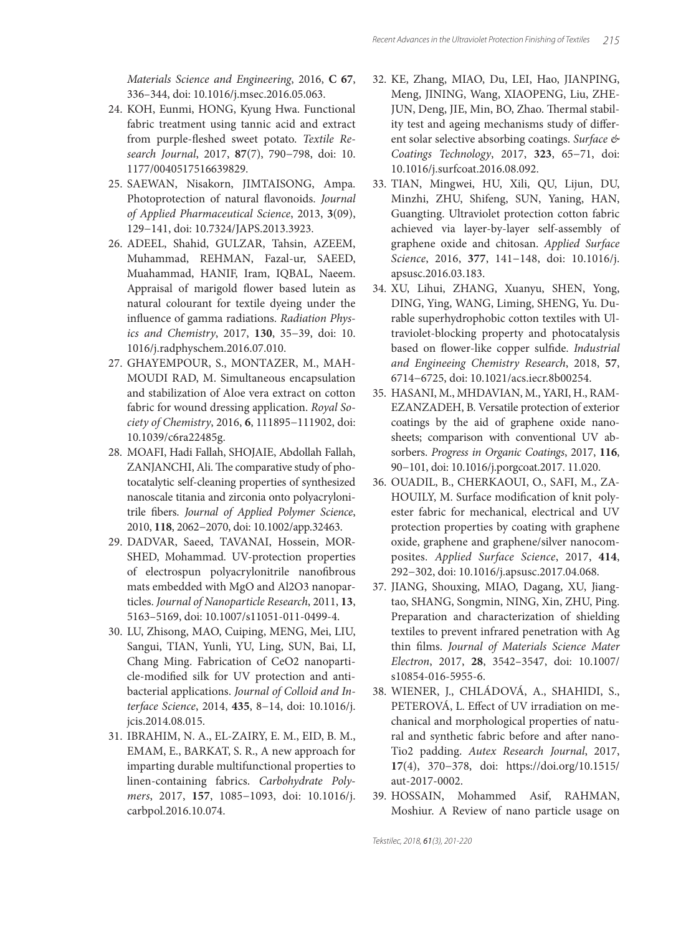*Materials Science and Engineering*, 2016, **C 67**, 336–344, doi: 10.1016/j.msec.2016.05.063.

- 24. KOH, Eunmi, HONG, Kyung Hwa. Functional fabric treatment using tannic acid and extract from purple-fleshed sweet potato. Textile Re*search Journal*, 2017, **87**(7), 790−798, doi: 10. 1177/0040517516639829.
- 25. SAEWAN, Nisakorn, JIMTAISONG, Ampa. Photoprotection of natural flavonoids. *Journal of Applied Pharmaceutical Science*, 2013, **3**(09), 129−141, doi: 10.7324/JAPS.2013.3923.
- 26. ADEEL, Shahid, GULZAR, Tahsin, AZEEM, Muhammad, REHMAN, Fazal-ur, SAEED, Muahammad, HANIF, Iram, IQBAL, Naeem. Appraisal of marigold flower based lutein as natural colourant for textile dyeing under the influence of gamma radiations. *Radiation Physics and Chemistry*, 2017, **130**, 35−39, doi: 10. 1016/j.radphyschem.2016.07.010.
- 27. GHAYEMPOUR, S., MONTAZER, M., MAH-MOUDI RAD, M. Simultaneous encapsulation and stabilization of Aloe vera extract on cotton fabric for wound dressing application. *Royal Society of Chemistry*, 2016, **6**, 111895−111902, doi: 10.1039/c6ra22485g.
- 28. MOAFI, Hadi Fallah, SHOJAIE, Abdollah Fallah, ZANJANCHI, Ali. The comparative study of photocatalytic self-cleaning properties of synthesized nanoscale titania and zirconia onto polyacrylonitrile fibers. *Journal of Applied Polymer Science*, 2010, **118**, 2062−2070, doi: 10.1002/app.32463.
- 29. DADVAR, Saeed, TAVANAI, Hossein, MOR-SHED, Mohammad. UV-protection properties of electrospun polyacrylonitrile nanofibrous mats embedded with MgO and Al2O3 nanoparticles. *Journal of Nanoparticle Research*, 2011, **13**, 5163–5169, doi: 10.1007/s11051-011-0499-4.
- 30. LU, Zhisong, MAO, Cuiping, MENG, Mei, LIU, Sangui, TIAN, Yunli, YU, Ling, SUN, Bai, LI, Chang Ming. Fabrication of CeO2 nanoparticle-modified silk for UV protection and antibacterial applications. *Journal of Colloid and Interface Science*, 2014, **435**, 8−14, doi: 10.1016/j. jcis.2014.08.015.
- 31. IBRAHIM, N. A., EL-ZAIRY, E. M., EID, B. M., EMAM, E., BARKAT, S. R., A new approach for imparting durable multifunctional properties to linen-containing fabrics. *Carbohydrate Polymers*, 2017, **157**, 1085−1093, doi: 10.1016/j. carbpol.2016.10.074.
- 32. KE, Zhang, MIAO, Du, LEI, Hao, JIANPING, Meng, JINING, Wang, XIAOPENG, Liu, ZHE-JUN, Deng, JIE, Min, BO, Zhao. Thermal stability test and ageing mechanisms study of different solar selective absorbing coatings. *Surface & Coatings Technology*, 2017, **323**, 65−71, doi: 10.1016/j.surfcoat.2016.08.092.
- 33. TIAN, Mingwei, HU, Xili, QU, Lijun, DU, Minzhi, ZHU, Shifeng, SUN, Yaning, HAN, Guangting. Ultraviolet protection cotton fabric achieved via layer-by-layer self-assembly of graphene oxide and chitosan. *Applied Surface Science*, 2016, **377**, 141−148, doi: 10.1016/j. apsusc.2016.03.183.
- 34. XU, Lihui, ZHANG, Xuanyu, SHEN, Yong, DING, Ying, WANG, Liming, SHENG, Yu. Durable superhydrophobic cotton textiles with Ultraviolet-blocking property and photocatalysis based on flower-like copper sulfide. *Industrial and Engineeing Chemistry Research*, 2018, **57**, 6714−6725, doi: 10.1021/acs.iecr.8b00254.
- 35. HASANI, M., MHDAVIAN, M., YARI, H., RAM-EZANZADEH, B. Versatile protection of exterior coatings by the aid of graphene oxide nanosheets; comparison with conventional UV absorbers. *Progress in Organic Coatings*, 2017, **116**, 90−101, doi: 10.1016/j.porgcoat.2017. 11.020.
- 36. OUADIL, B., CHERKAOUI, O., SAFI, M., ZA-HOUILY, M. Surface modification of knit polyester fabric for mechanical, electrical and UV protection properties by coating with graphene oxide, graphene and graphene/silver nanocomposites. *Applied Surface Science*, 2017, **414**, 292−302, doi: 10.1016/j.apsusc.2017.04.068.
- 37. JIANG, Shouxing, MIAO, Dagang, XU, Jiangtao, SHANG, Songmin, NING, Xin, ZHU, Ping. Preparation and characterization of shielding textiles to prevent infrared penetration with Ag thin films. *Journal of Materials Science Mater Electron*, 2017, **28**, 3542–3547, doi: 10.1007/ s10854-016-5955-6.
- 38. WIENER, J., CHLÁDOVÁ, A., SHAHIDI, S., PETEROVÁ, L. Effect of UV irradiation on mechanical and morphological properties of natural and synthetic fabric before and after nano-Tio2 padding. *Autex Research Journal*, 2017, **17**(4), 370−378, doi: https://doi.org/10.1515/ aut-2017-0002.
- 39. HOSSAIN, Mohammed Asif, RAHMAN, Moshiur. A Review of nano particle usage on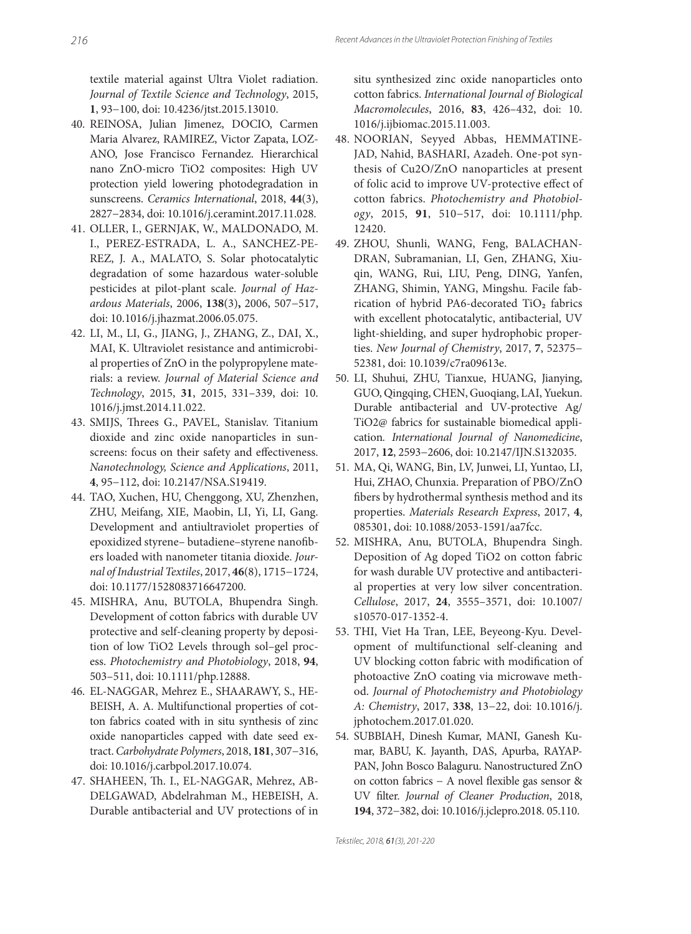textile material against Ultra Violet radiation. *Journal of Textile Science and Technology*, 2015, **1**, 93−100, doi: 10.4236/jtst.2015.13010.

- 40. REINOSA, Julian Jimenez, DOCIO, Carmen Maria Alvarez, RAMIREZ, Victor Zapata, LOZ-ANO, Jose Francisco Fernandez. Hierarchical nano ZnO-micro TiO2 composites: High UV protection yield lowering photodegradation in sunscreens. *Ceramics International*, 2018, **44**(3), 2827−2834, doi: 10.1016/j.ceramint.2017.11.028.
- 41. OLLER, I., GERNJAK, W., MALDONADO, M. I., PEREZ-ESTRADA, L. A., SANCHEZ-PE-REZ, J. A., MALATO, S. Solar photocatalytic degradation of some hazardous water-soluble pesticides at pilot-plant scale. *Journal of Hazardous Materials*, 2006, **138**(3)**,** 2006, 507−517, doi: 10.1016/j.jhazmat.2006.05.075.
- 42. LI, M., LI, G., JIANG, J., ZHANG, Z., DAI, X., MAI, K. Ultraviolet resistance and antimicrobial properties of ZnO in the polypropylene materials: a review. *Journal of Material Science and Technology*, 2015, **31**, 2015, 331–339, doi: 10. 1016/j.jmst.2014.11.022.
- 43. SMIJS, Threes G., PAVEL, Stanislav. Titanium dioxide and zinc oxide nanoparticles in sunscreens: focus on their safety and effectiveness. *Nanotechnology, Science and Applications*, 2011, **4**, 95−112, doi: 10.2147/NSA.S19419.
- 44. TAO, Xuchen, HU, Chenggong, XU, Zhenzhen, ZHU, Meifang, XIE, Maobin, LI, Yi, LI, Gang. Development and antiultraviolet properties of epoxidized styrene- butadiene-styrene nanofibers loaded with nanometer titania dioxide. *Journal of Industrial Textiles*, 2017, **46**(8), 1715−1724, doi: 10.1177/1528083716647200.
- 45. MISHRA, Anu, BUTOLA, Bhupendra Singh. Development of cotton fabrics with durable UV protective and self-cleaning property by deposition of low TiO2 Levels through sol–gel process. *Photochemistry and Photobiology*, 2018, **94**, 503–511, doi: 10.1111/php.12888.
- 46. EL-NAGGAR, Mehrez E., SHAARAWY, S., HE-BEISH, A. A. Multifunctional properties of cotton fabrics coated with in situ synthesis of zinc oxide nanoparticles capped with date seed extract. *Carbohydrate Polymers*, 2018, **181**, 307−316, doi: 10.1016/j.carbpol.2017.10.074.
- 47. SHAHEEN, Th. I., EL-NAGGAR, Mehrez, AB-DELGAWAD, Abdelrahman M., HEBEISH, A. Durable antibacterial and UV protections of in

situ synthesized zinc oxide nanoparticles onto cotton fabrics. *International Journal of Biological Macromolecules*, 2016, **83**, 426–432, doi: 10. 1016/j.ijbiomac.2015.11.003.

- 48. NOORIAN, Seyyed Abbas, HEMMATINE-JAD, Nahid, BASHARI, Azadeh. One-pot synthesis of Cu2O/ZnO nanoparticles at present of folic acid to improve UV-protective effect of cotton fabrics. *Photochemistry and Photobiology*, 2015, **91**, 510−517, doi: 10.1111/php. 12420.
- 49. ZHOU, Shunli, WANG, Feng, BALACHAN-DRAN, Subramanian, LI, Gen, ZHANG, Xiuqin, WANG, Rui, LIU, Peng, DING, Yanfen, ZHANG, Shimin, YANG, Mingshu. Facile fabrication of hybrid PA6-decorated  $TiO<sub>2</sub>$  fabrics with excellent photocatalytic, antibacterial, UV light-shielding, and super hydrophobic properties. *New Journal of Chemistry*, 2017, **7**, 52375− 52381, doi: 10.1039/c7ra09613e.
- 50. LI, Shuhui, ZHU, Tianxue, HUANG, Jianying, GUO, Qingqing, CHEN, Guoqiang, LAI, Yuekun. Durable antibacterial and UV-protective Ag/ TiO2@ fabrics for sustainable biomedical application*. International Journal of Nanomedicine*, 2017, **12**, 2593−2606, doi: 10.2147/IJN.S132035.
- 51. MA, Qi, WANG, Bin, LV, Junwei, LI, Yuntao, LI, Hui, ZHAO, Chunxia. Preparation of PBO/ZnO fibers by hydrothermal synthesis method and its properties. *Materials Research Express*, 2017, **4**, 085301, doi: 10.1088/2053-1591/aa7fcc.
- 52. MISHRA, Anu, BUTOLA, Bhupendra Singh. Deposition of Ag doped TiO2 on cotton fabric for wash durable UV protective and antibacterial properties at very low silver concentration. *Cellulose*, 2017, **24**, 3555–3571, doi: 10.1007/ s10570-017-1352-4.
- 53. THI, Viet Ha Tran, LEE, Beyeong-Kyu. Development of multifunctional self-cleaning and UV blocking cotton fabric with modification of photoactive ZnO coating via microwave method. *Journal of Photochemistry and Photobiology A: Chemistry*, 2017, **338**, 13−22, doi: 10.1016/j. jphotochem.2017.01.020.
- 54. SUBBIAH, Dinesh Kumar, MANI, Ganesh Kumar, BABU, K. Jayanth, DAS, Apurba, RAYAP-PAN, John Bosco Balaguru. Nanostructured ZnO on cotton fabrics − A novel flexible gas sensor & UV filter. *Journal of Cleaner Production*, 2018, **194**, 372−382, doi: 10.1016/j.jclepro.2018. 05.110.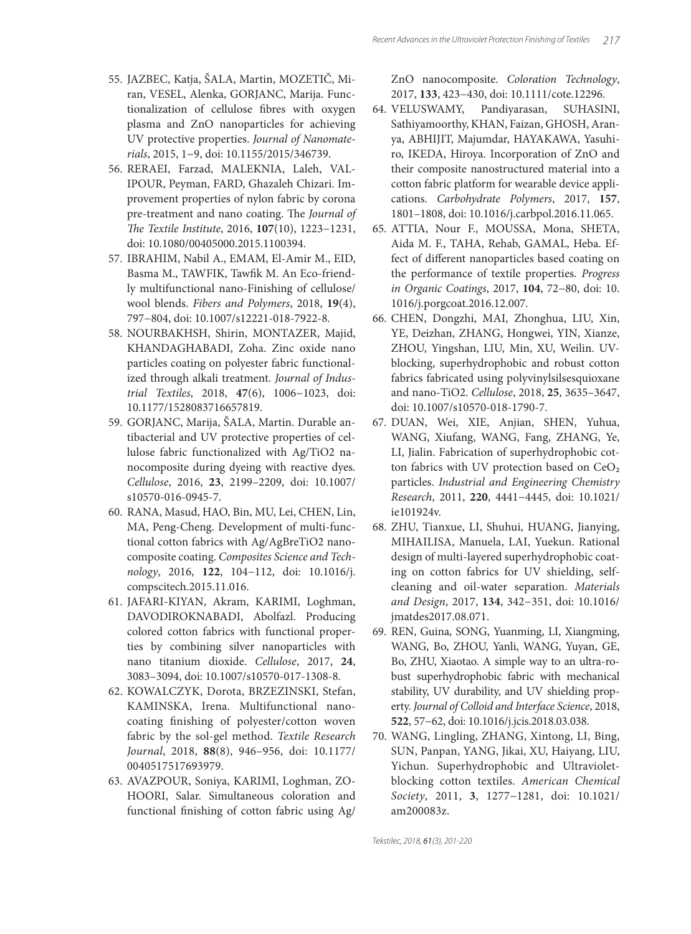- 55. JAZBEC, Katja, ŠALA, Martin, MOZETIČ, Miran, VESEL, Alenka, GORJANC, Marija. Functionalization of cellulose fibres with oxygen plasma and ZnO nanoparticles for achieving UV protective properties. *Journal of Nanomaterials*, 2015, 1−9, doi: 10.1155/2015/346739.
- 56. RERAEI, Farzad, MALEKNIA, Laleh, VAL-IPOUR, Peyman, FARD, Ghazaleh Chizari. Improvement properties of nylon fabric by corona pre-treatment and nano coating. The *Journal of The Textile Institute*, 2016, 107(10), 1223-1231, doi: 10.1080/00405000.2015.1100394.
- 57. IBRAHIM, Nabil A., EMAM, El-Amir M., EID, Basma M., TAWFIK, Tawfik M. An Eco-friendly multifunctional nano-Finishing of cellulose/ wool blends. *Fibers and Polymers*, 2018, **19**(4), 797−804, doi: 10.1007/s12221-018-7922-8.
- 58. NOURBAKHSH, Shirin, MONTAZER, Majid, KHANDAGHABADI, Zoha. Zinc oxide nano particles coating on polyester fabric functionalized through alkali treatment. *Journal of Industrial Textiles*, 2018, **47**(6), 1006−1023, doi: 10.1177/1528083716657819.
- 59. GORJANC, Marija, ŠALA, Martin. Durable antibacterial and UV protective properties of cellulose fabric functionalized with Ag/TiO2 nanocomposite during dyeing with reactive dyes. *Cellulose*, 2016, **23**, 2199–2209, doi: 10.1007/ s10570-016-0945-7.
- 60. RANA, Masud, HAO, Bin, MU, Lei, CHEN, Lin, MA, Peng-Cheng. Development of multi-functional cotton fabrics with Ag/AgBreTiO2 nanocomposite coating. *Composites Science and Technology*, 2016, **122**, 104−112, doi: 10.1016/j. compscitech.2015.11.016.
- 61. JAFARI-KIYAN, Akram, KARIMI, Loghman, DAVODIROKNABADI, Abolfazl. Producing colored cotton fabrics with functional properties by combining silver nanoparticles with nano titanium dioxide. *Cellulose*, 2017, **24**, 3083–3094, doi: 10.1007/s10570-017-1308-8.
- 62. KOWALCZYK, Dorota, BRZEZINSKI, Stefan, KAMINSKA, Irena. Multifunctional nanocoating finishing of polyester/cotton woven fabric by the sol-gel method. *Textile Research Journal*, 2018, **88**(8), 946–956, doi: 10.1177/ 0040517517693979.
- 63. AVAZPOUR, Soniya, KARIMI, Loghman, ZO-HOORI, Salar. Simultaneous coloration and functional finishing of cotton fabric using Ag/

ZnO nanocomposite. *Coloration Technology*, 2017, **133**, 423−430, doi: 10.1111/cote.12296.

- 64. VELUSWAMY, Pandiyarasan, SUHASINI, Sathiyamoorthy, KHAN, Faizan, GHOSH, Aranya, ABHIJIT, Majumdar, HAYAKAWA, Yasuhiro, IKEDA, Hiroya. Incorporation of ZnO and their composite nanostructured material into a cotton fabric platform for wearable device applications. *Carbohydrate Polymers*, 2017, **157**, 1801–1808, doi: 10.1016/j.carbpol.2016.11.065.
- 65. ATTIA, Nour F., MOUSSA, Mona, SHETA, Aida M. F., TAHA, Rehab, GAMAL, Heba. Effect of different nanoparticles based coating on the performance of textile properties. *Progress in Organic Coatings*, 2017, **104**, 72−80, doi: 10. 1016/j.porgcoat.2016.12.007.
- 66. CHEN, Dongzhi, MAI, Zhonghua, LIU, Xin, YE, Deizhan, ZHANG, Hongwei, YIN, Xianze, ZHOU, Yingshan, LIU, Min, XU, Weilin. UVblocking, superhydrophobic and robust cotton fabrics fabricated using polyvinylsilsesquioxane and nano-TiO2. *Cellulose*, 2018, **25**, 3635–3647, doi: 10.1007/s10570-018-1790-7.
- 67. DUAN, Wei, XIE, Anjian, SHEN, Yuhua, WANG, Xiufang, WANG, Fang, ZHANG, Ye, LI, Jialin. Fabrication of superhydrophobic cotton fabrics with UV protection based on  $CeO<sub>2</sub>$ particles. *Industrial and Engineering Chemistry Research*, 2011, **220**, 4441−4445, doi: 10.1021/ ie101924v.
- 68. ZHU, Tianxue, LI, Shuhui, HUANG, Jianying, MIHAILISA, Manuela, LAI, Yuekun. Rational design of multi-layered superhydrophobic coating on cotton fabrics for UV shielding, selfcleaning and oil-water separation. *Materials and Design*, 2017, **134**, 342−351, doi: 10.1016/ jmatdes2017.08.071.
- 69. REN, Guina, SONG, Yuanming, LI, Xiangming, WANG, Bo, ZHOU, Yanli, WANG, Yuyan, GE, Bo, ZHU, Xiaotao. A simple way to an ultra-robust superhydrophobic fabric with mechanical stability, UV durability, and UV shielding property. *Journal of Colloid and Interface Science*, 2018, **522**, 57−62, doi: 10.1016/j.jcis.2018.03.038.
- 70. WANG, Lingling, ZHANG, Xintong, LI, Bing, SUN, Panpan, YANG, Jikai, XU, Haiyang, LIU, Yichun. Superhydrophobic and Ultravioletblocking cotton textiles. *American Chemical Society*, 2011, **3**, 1277−1281, doi: 10.1021/ am200083z.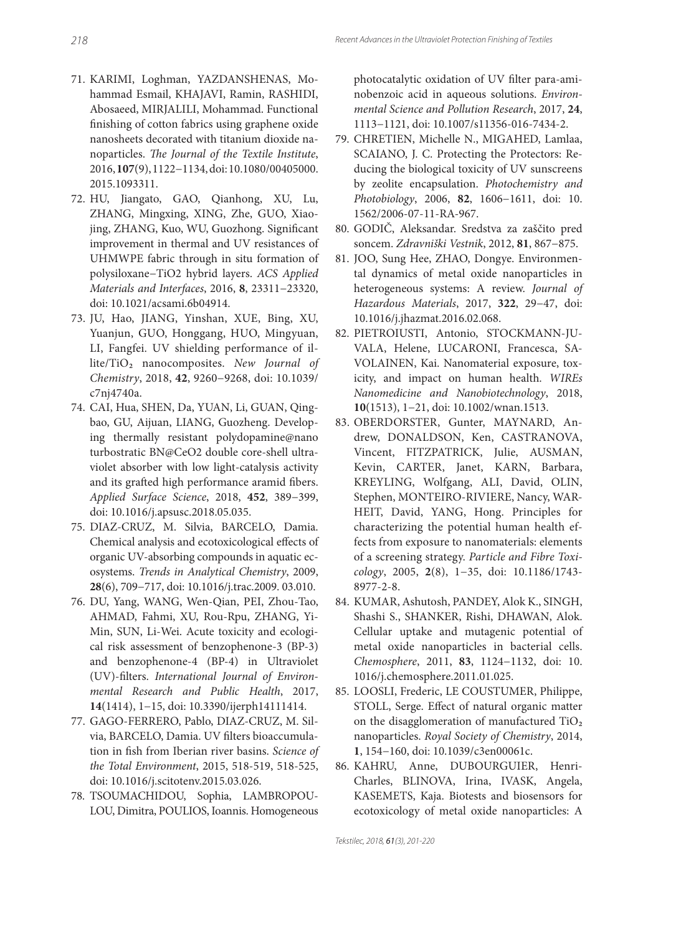- 71. KARIMI, Loghman, YAZDANSHENAS, Mohammad Esmail, KHAJAVI, Ramin, RASHIDI, Abosaeed, MIRJALILI, Mohammad. Functional finishing of cotton fabrics using graphene oxide nanosheets decorated with titanium dioxide nanoparticles. *The Journal of the Textile Institute*, 2016, **107**(9), 1122−1134, doi: 10.1080/00405000. 2015.1093311.
- 72. HU, Jiangato, GAO, Qianhong, XU, Lu, ZHANG, Mingxing, XING, Zhe, GUO, Xiaojing, ZHANG, Kuo, WU, Guozhong. Significant improvement in thermal and UV resistances of UHMWPE fabric through in situ formation of polysiloxane−TiO2 hybrid layers. *ACS Applied Materials and Interfaces*, 2016, **8**, 23311−23320, doi: 10.1021/acsami.6b04914.
- 73. JU, Hao, JIANG, Yinshan, XUE, Bing, XU, Yuanjun, GUO, Honggang, HUO, Mingyuan, LI, Fangfei. UV shielding performance of illite/TiO<sub>2</sub> nanocomposites. New Journal of *Chemistry*, 2018, **42**, 9260−9268, doi: 10.1039/ c7nj4740a.
- 74. CAI, Hua, SHEN, Da, YUAN, Li, GUAN, Qingbao, GU, Aijuan, LIANG, Guozheng. Developing thermally resistant polydopamine@nano turbostratic BN@CeO2 double core-shell ultraviolet absorber with low light-catalysis activity and its grafted high performance aramid fibers. *Applied Surface Science*, 2018, **452**, 389−399, doi: 10.1016/j.apsusc.2018.05.035.
- 75. DIAZ-CRUZ, M. Silvia, BARCELO, Damia. Chemical analysis and ecotoxicological effects of organic UV-absorbing compounds in aquatic ecosystems. *Trends in Analytical Chemistry*, 2009, **28**(6), 709−717, doi: 10.1016/j.trac.2009. 03.010.
- 76. DU, Yang, WANG, Wen-Qian, PEI, Zhou-Tao, AHMAD, Fahmi, XU, Rou-Rpu, ZHANG, Yi-Min, SUN, Li-Wei. Acute toxicity and ecological risk assessment of benzophenone-3 (BP-3) and benzophenone-4 (BP-4) in Ultraviolet (UV)-fi lters. *International Journal of Environmental Research and Public Health*, 2017, **14**(1414), 1−15, doi: 10.3390/ijerph14111414.
- 77. GAGO-FERRERO, Pablo, DIAZ-CRUZ, M. Silvia, BARCELO, Damia. UV filters bioaccumulation in fish from Iberian river basins. *Science of the Total Environment*, 2015, 518-519, 518-525, doi: 10.1016/j.scitotenv.2015.03.026.
- 78. TSOUMACHIDOU, Sophia, LAMBROPOU-LOU, Dimitra, POULIOS, Ioannis. Homogeneous

photocatalytic oxidation of UV filter para-aminobenzoic acid in aqueous solutions. *Environmental Science and Pollution Research*, 2017, **24**, 1113−1121, doi: 10.1007/s11356-016-7434-2.

- 79. CHRETIEN, Michelle N., MIGAHED, Lamlaa, SCAIANO, J. C. Protecting the Protectors: Reducing the biological toxicity of UV sunscreens by zeolite encapsulation. *Photochemistry and Photobiology*, 2006, **82**, 1606−1611, doi: 10. 1562/2006-07-11-RA-967.
- 80. GODIČ, Aleksandar. Sredstva za zaščito pred soncem. *Zdravniški Vestnik*, 2012, **81**, 867−875.
- 81. JOO, Sung Hee, ZHAO, Dongye. Environmental dynamics of metal oxide nanoparticles in heterogeneous systems: A review. *Journal of Hazardous Materials*, 2017, **322**, 29−47, doi: 10.1016/j.jhazmat.2016.02.068.
- 82. PIETROIUSTI, Antonio, STOCKMANN-JU-VALA, Helene, LUCARONI, Francesca, SA-VOLAINEN, Kai. Nanomaterial exposure, toxicity, and impact on human health. *WIREs Nanomedicine and Nanobiotechnology*, 2018, **10**(1513), 1−21, doi: 10.1002/wnan.1513.
- 83. OBERDORSTER, Gunter, MAYNARD, Andrew, DONALDSON, Ken, CASTRANOVA, Vincent, FITZPATRICK, Julie, AUSMAN, Kevin, CARTER, Janet, KARN, Barbara, KREYLING, Wolfgang, ALI, David, OLIN, Stephen, MONTEIRO-RIVIERE, Nancy, WAR-HEIT, David, YANG, Hong. Principles for characterizing the potential human health effects from exposure to nanomaterials: elements of a screening strategy. *Particle and Fibre Toxicology*, 2005, **2**(8), 1−35, doi: 10.1186/1743- 8977-2-8.
- 84. KUMAR, Ashutosh, PANDEY, Alok K., SINGH, Shashi S., SHANKER, Rishi, DHAWAN, Alok. Cellular uptake and mutagenic potential of metal oxide nanoparticles in bacterial cells. *Chemosphere*, 2011, **83**, 1124−1132, doi: 10. 1016/j.chemosphere.2011.01.025.
- 85. LOOSLI, Frederic, LE COUSTUMER, Philippe, STOLL, Serge. Effect of natural organic matter on the disagglomeration of manufactured  $TiO<sub>2</sub>$ nanoparticles. *Royal Society of Chemistry*, 2014, **1**, 154−160, doi: 10.1039/c3en00061c.
- 86. KAHRU, Anne, DUBOURGUIER, Henri-Charles, BLINOVA, Irina, IVASK, Angela, KASEMETS, Kaja. Biotests and biosensors for ecotoxicology of metal oxide nanoparticles: A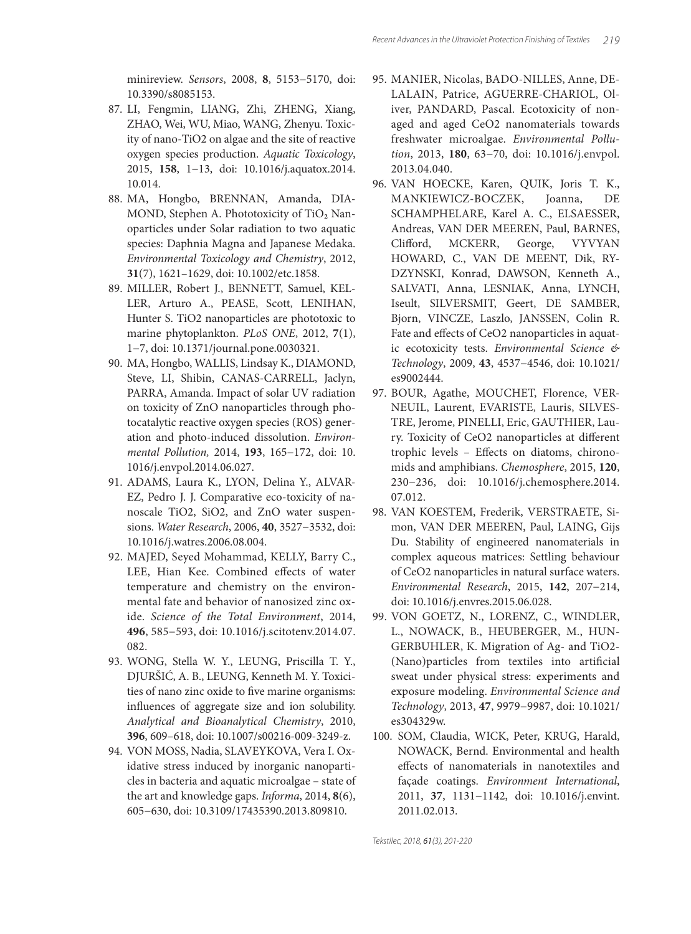minireview. *Sensors*, 2008, **8**, 5153−5170, doi: 10.3390/s8085153.

- 87. LI, Fengmin, LIANG, Zhi, ZHENG, Xiang, ZHAO, Wei, WU, Miao, WANG, Zhenyu. Toxicity of nano-TiO2 on algae and the site of reactive oxygen species production. *Aquatic Toxicology*, 2015, **158**, 1−13, doi: 10.1016/j.aquatox.2014. 10.014.
- 88. MA, Hongbo, BRENNAN, Amanda, DIA-MOND, Stephen A. Phototoxicity of TiO<sub>2</sub> Nanoparticles under Solar radiation to two aquatic species: Daphnia Magna and Japanese Medaka. *Environmental Toxicology and Chemistry*, 2012, **31**(7), 1621–1629, doi: 10.1002/etc.1858.
- 89. MILLER, Robert J., BENNETT, Samuel, KEL-LER, Arturo A., PEASE, Scott, LENIHAN, Hunter S. TiO2 nanoparticles are phototoxic to marine phytoplankton. *PLoS ONE*, 2012, **7**(1), 1−7, doi: 10.1371/journal.pone.0030321.
- 90. MA, Hongbo, WALLIS, Lindsay K., DIAMOND, Steve, LI, Shibin, CANAS-CARRELL, Jaclyn, PARRA, Amanda. Impact of solar UV radiation on toxicity of ZnO nanoparticles through photocatalytic reactive oxygen species (ROS) generation and photo-induced dissolution. *Environmental Pollution,* 2014, **193**, 165−172, doi: 10. 1016/j.envpol.2014.06.027.
- 91. ADAMS, Laura K., LYON, Delina Y., ALVAR-EZ, Pedro J. J. Comparative eco-toxicity of nanoscale TiO2, SiO2, and ZnO water suspensions. *Water Research*, 2006, **40**, 3527−3532, doi: 10.1016/j.watres.2006.08.004.
- 92. MAJED, Seyed Mohammad, KELLY, Barry C., LEE, Hian Kee. Combined effects of water temperature and chemistry on the environmental fate and behavior of nanosized zinc oxide. *Science of the Total Environment*, 2014, **496**, 585−593, doi: 10.1016/j.scitotenv.2014.07. 082.
- 93. WONG, Stella W. Y., LEUNG, Priscilla T. Y., DJURŠIĆ, A. B., LEUNG, Kenneth M. Y. Toxicities of nano zinc oxide to five marine organisms: influences of aggregate size and ion solubility. *Analytical and Bioanalytical Chemistry*, 2010, **396**, 609–618, doi: 10.1007/s00216-009-3249-z.
- 94. VON MOSS, Nadia, SLAVEYKOVA, Vera I. Oxidative stress induced by inorganic nanoparticles in bacteria and aquatic microalgae – state of the art and knowledge gaps. *Informa*, 2014, **8**(6), 605−630, doi: 10.3109/17435390.2013.809810.
- 95. MANIER, Nicolas, BADO-NILLES, Anne, DE-LALAIN, Patrice, AGUERRE-CHARIOL, Oliver, PANDARD, Pascal. Ecotoxicity of nonaged and aged CeO2 nanomaterials towards freshwater microalgae. *Environmental Pollution*, 2013, **180**, 63−70, doi: 10.1016/j.envpol. 2013.04.040.
- 96. VAN HOECKE, Karen, QUIK, Joris T. K., MANKIEWICZ-BOCZEK, Joanna, DE SCHAMPHELARE, Karel A. C., ELSAESSER, Andreas, VAN DER MEEREN, Paul, BARNES, Clifford, MCKERR, George, VYVYAN HOWARD, C., VAN DE MEENT, Dik, RY-DZYNSKI, Konrad, DAWSON, Kenneth A., SALVATI, Anna, LESNIAK, Anna, LYNCH, Iseult, SILVERSMIT, Geert, DE SAMBER, Bjorn, VINCZE, Laszlo, JANSSEN, Colin R. Fate and effects of CeO2 nanoparticles in aquatic ecotoxicity tests. *Environmental Science & Technology*, 2009, **43**, 4537−4546, doi: 10.1021/ es9002444.
- 97. BOUR, Agathe, MOUCHET, Florence, VER-NEUIL, Laurent, EVARISTE, Lauris, SILVES-TRE, Jerome, PINELLI, Eric, GAUTHIER, Laury. Toxicity of CeO2 nanoparticles at different trophic levels - Effects on diatoms, chironomids and amphibians. *Chemosphere*, 2015, **120**, 230−236, doi: 10.1016/j.chemosphere.2014. 07.012.
- 98. VAN KOESTEM, Frederik, VERSTRAETE, Simon, VAN DER MEEREN, Paul, LAING, Gijs Du. Stability of engineered nanomaterials in complex aqueous matrices: Settling behaviour of CeO2 nanoparticles in natural surface waters. *Environmental Research*, 2015, **142**, 207−214, doi: 10.1016/j.envres.2015.06.028.
- 99. VON GOETZ, N., LORENZ, C., WINDLER, L., NOWACK, B., HEUBERGER, M., HUN-GERBUHLER, K. Migration of Ag- and TiO2- (Nano)particles from textiles into artificial sweat under physical stress: experiments and exposure modeling. *Environmental Science and Technology*, 2013, **47**, 9979−9987, doi: 10.1021/ es304329w.
- 100. SOM, Claudia, WICK, Peter, KRUG, Harald, NOWACK, Bernd. Environmental and health effects of nanomaterials in nanotextiles and façade coatings. *Environment International*, 2011, **37**, 1131−1142, doi: 10.1016/j.envint. 2011.02.013.